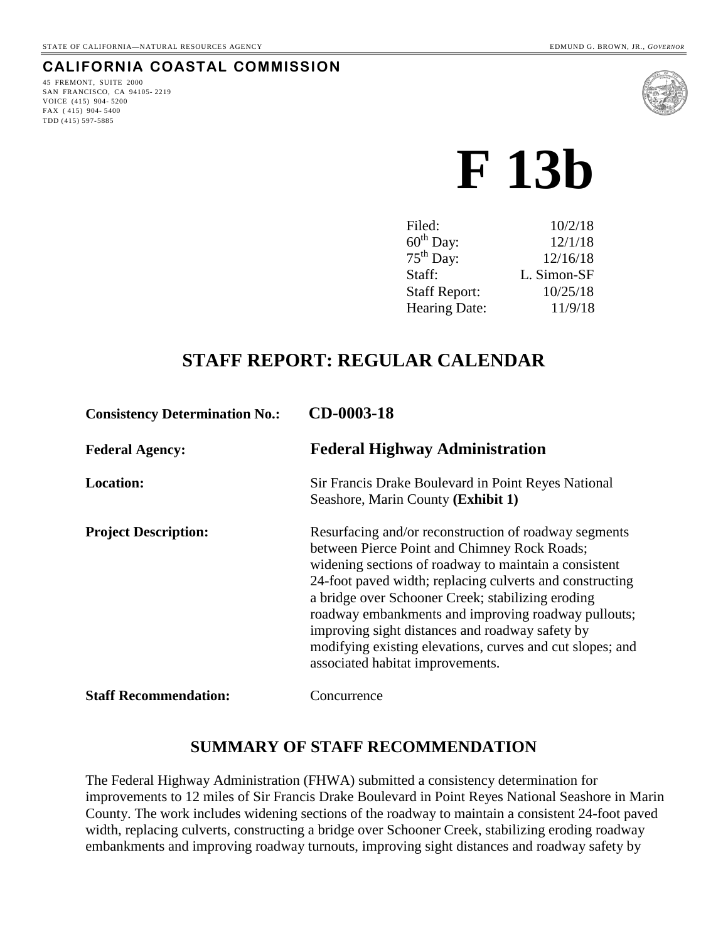#### **CALIFORNIA COASTAL COMMISSION**

45 FREMONT, SUITE 2000 SAN FRANCISCO, CA 94105- 2219 VOICE (415) 904- 5200 FAX ( 415) 904- 5400 TDD (415) 597-5885



# **F 13b**

| Filed:                | 10/2/18     |
|-----------------------|-------------|
| $60^{\text{th}}$ Day: | 12/1/18     |
| $75th$ Day:           | 12/16/18    |
| Staff:                | L. Simon-SF |
| <b>Staff Report:</b>  | 10/25/18    |
| Hearing Date:         | 11/9/18     |

## **STAFF REPORT: REGULAR CALENDAR**

| <b>Consistency Determination No.:</b> | CD-0003-18                                                                                                                                                                                                                                                                                                                                                                                                                                                                                 |
|---------------------------------------|--------------------------------------------------------------------------------------------------------------------------------------------------------------------------------------------------------------------------------------------------------------------------------------------------------------------------------------------------------------------------------------------------------------------------------------------------------------------------------------------|
| <b>Federal Agency:</b>                | <b>Federal Highway Administration</b>                                                                                                                                                                                                                                                                                                                                                                                                                                                      |
| <b>Location:</b>                      | Sir Francis Drake Boulevard in Point Reyes National<br>Seashore, Marin County (Exhibit 1)                                                                                                                                                                                                                                                                                                                                                                                                  |
| <b>Project Description:</b>           | Resurfacing and/or reconstruction of roadway segments<br>between Pierce Point and Chimney Rock Roads;<br>widening sections of roadway to maintain a consistent<br>24-foot paved width; replacing culverts and constructing<br>a bridge over Schooner Creek; stabilizing eroding<br>roadway embankments and improving roadway pullouts;<br>improving sight distances and roadway safety by<br>modifying existing elevations, curves and cut slopes; and<br>associated habitat improvements. |
| <b>Staff Recommendation:</b>          | Concurrence                                                                                                                                                                                                                                                                                                                                                                                                                                                                                |

#### **SUMMARY OF STAFF RECOMMENDATION**

The Federal Highway Administration (FHWA) submitted a consistency determination for improvements to 12 miles of Sir Francis Drake Boulevard in Point Reyes National Seashore in Marin County. The work includes widening sections of the roadway to maintain a consistent 24-foot paved width, replacing culverts, constructing a bridge over Schooner Creek, stabilizing eroding roadway embankments and improving roadway turnouts, improving sight distances and roadway safety by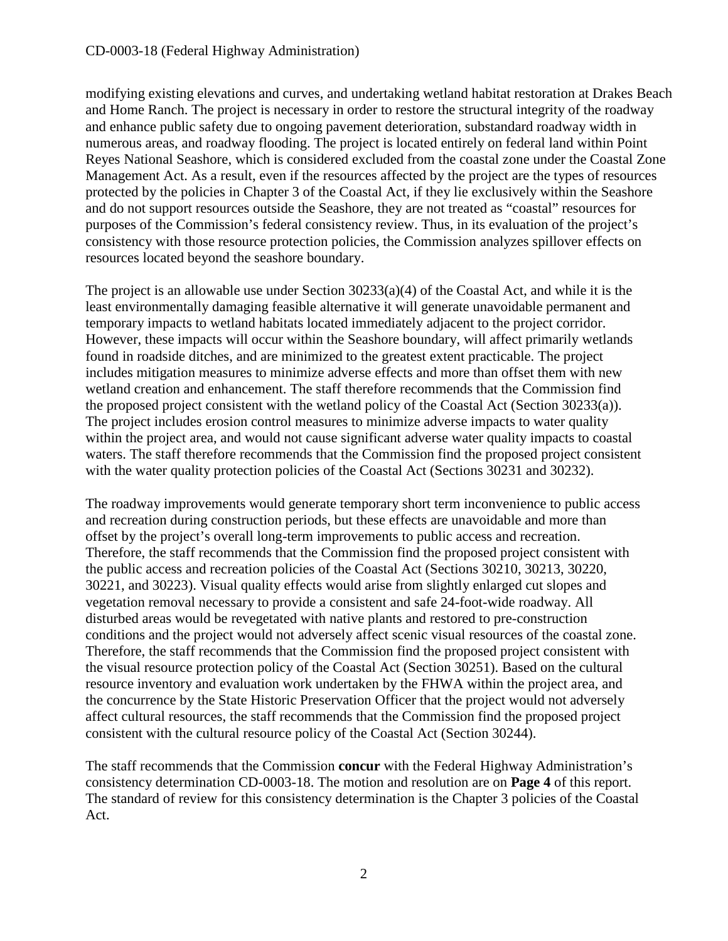modifying existing elevations and curves, and undertaking wetland habitat restoration at Drakes Beach and Home Ranch. The project is necessary in order to restore the structural integrity of the roadway and enhance public safety due to ongoing pavement deterioration, substandard roadway width in numerous areas, and roadway flooding. The project is located entirely on federal land within Point Reyes National Seashore, which is considered excluded from the coastal zone under the Coastal Zone Management Act. As a result, even if the resources affected by the project are the types of resources protected by the policies in Chapter 3 of the Coastal Act, if they lie exclusively within the Seashore and do not support resources outside the Seashore, they are not treated as "coastal" resources for purposes of the Commission's federal consistency review. Thus, in its evaluation of the project's consistency with those resource protection policies, the Commission analyzes spillover effects on resources located beyond the seashore boundary.

The project is an allowable use under Section  $30233(a)(4)$  of the Coastal Act, and while it is the least environmentally damaging feasible alternative it will generate unavoidable permanent and temporary impacts to wetland habitats located immediately adjacent to the project corridor. However, these impacts will occur within the Seashore boundary, will affect primarily wetlands found in roadside ditches, and are minimized to the greatest extent practicable. The project includes mitigation measures to minimize adverse effects and more than offset them with new wetland creation and enhancement. The staff therefore recommends that the Commission find the proposed project consistent with the wetland policy of the Coastal Act (Section 30233(a)). The project includes erosion control measures to minimize adverse impacts to water quality within the project area, and would not cause significant adverse water quality impacts to coastal waters. The staff therefore recommends that the Commission find the proposed project consistent with the water quality protection policies of the Coastal Act (Sections 30231 and 30232).

The roadway improvements would generate temporary short term inconvenience to public access and recreation during construction periods, but these effects are unavoidable and more than offset by the project's overall long-term improvements to public access and recreation. Therefore, the staff recommends that the Commission find the proposed project consistent with the public access and recreation policies of the Coastal Act (Sections 30210, 30213, 30220, 30221, and 30223). Visual quality effects would arise from slightly enlarged cut slopes and vegetation removal necessary to provide a consistent and safe 24-foot-wide roadway. All disturbed areas would be revegetated with native plants and restored to pre-construction conditions and the project would not adversely affect scenic visual resources of the coastal zone. Therefore, the staff recommends that the Commission find the proposed project consistent with the visual resource protection policy of the Coastal Act (Section 30251). Based on the cultural resource inventory and evaluation work undertaken by the FHWA within the project area, and the concurrence by the State Historic Preservation Officer that the project would not adversely affect cultural resources, the staff recommends that the Commission find the proposed project consistent with the cultural resource policy of the Coastal Act (Section 30244).

The staff recommends that the Commission **concur** with the Federal Highway Administration's consistency determination CD-0003-18. The motion and resolution are on **Page 4** of this report. The standard of review for this consistency determination is the Chapter 3 policies of the Coastal Act.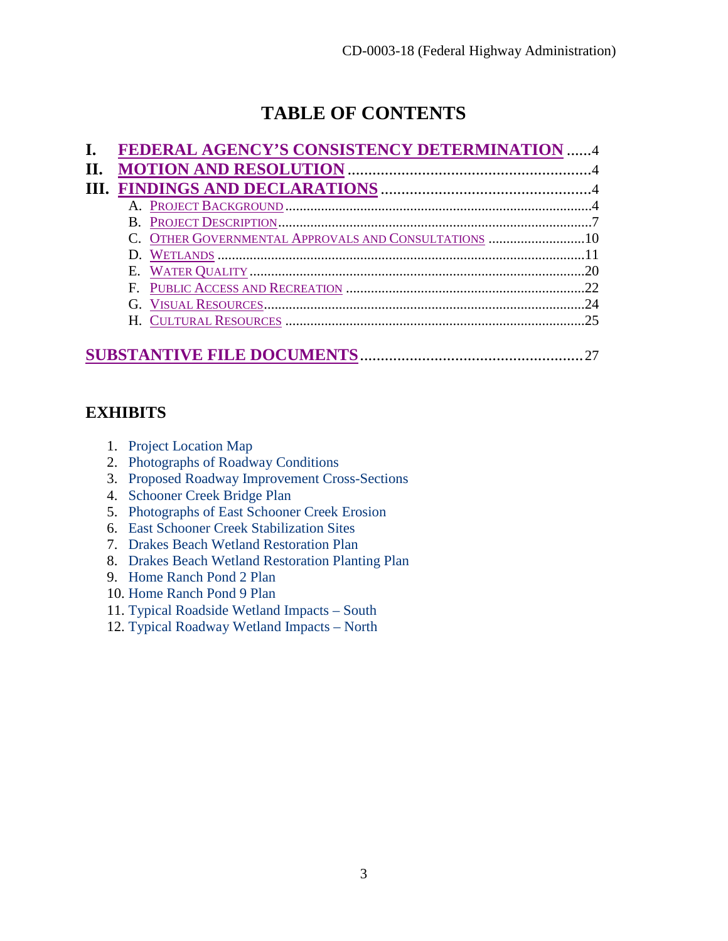## **TABLE OF CONTENTS**

|  | FEDERAL AGENCY'S CONSISTENCY DETERMINATION  4        |    |
|--|------------------------------------------------------|----|
|  |                                                      |    |
|  |                                                      |    |
|  |                                                      |    |
|  |                                                      |    |
|  | C. OTHER GOVERNMENTAL APPROVALS AND CONSULTATIONS 10 |    |
|  |                                                      |    |
|  |                                                      | 20 |
|  |                                                      |    |
|  |                                                      | 24 |
|  |                                                      |    |
|  |                                                      |    |
|  |                                                      |    |

## **EXHIBITS**

- 1. [Project Location Map](https://documents.coastal.ca.gov/reports/2018/11/F13b/F13b-11-2018-exhibits.pdf)
- 2. [Photographs of Roadway Conditions](https://documents.coastal.ca.gov/reports/2018/11/F13b/F13b-11-2018-exhibits.pdf)
- 3. [Proposed Roadway Improvement Cross-Sections](https://documents.coastal.ca.gov/reports/2018/11/F13b/F13b-11-2018-exhibits.pdf)
- 4. [Schooner Creek Bridge Plan](https://documents.coastal.ca.gov/reports/2018/11/F13b/F13b-11-2018-exhibits.pdf)
- 5. [Photographs of East Schooner Creek Erosion](https://documents.coastal.ca.gov/reports/2018/11/F13b/F13b-11-2018-exhibits.pdf)
- 6. [East Schooner Creek Stabilization Sites](https://documents.coastal.ca.gov/reports/2018/11/F13b/F13b-11-2018-exhibits.pdf)
- 7. [Drakes Beach Wetland Restoration Plan](https://documents.coastal.ca.gov/reports/2018/11/F13b/F13b-11-2018-exhibits.pdf)
- 8. [Drakes Beach Wetland Restoration Planting Plan](https://documents.coastal.ca.gov/reports/2018/11/F13b/F13b-11-2018-exhibits.pdf)
- 9. [Home Ranch Pond 2 Plan](https://documents.coastal.ca.gov/reports/2018/11/F13b/F13b-11-2018-exhibits.pdf)
- 10. [Home Ranch Pond 9 Plan](https://documents.coastal.ca.gov/reports/2018/11/F13b/F13b-11-2018-exhibits.pdf)
- 11. [Typical Roadside Wetland Impacts South](https://documents.coastal.ca.gov/reports/2018/11/F13b/F13b-11-2018-exhibits.pdf)
- 12. [Typical Roadway Wetland Impacts North](https://documents.coastal.ca.gov/reports/2018/11/F13b/F13b-11-2018-exhibits.pdf)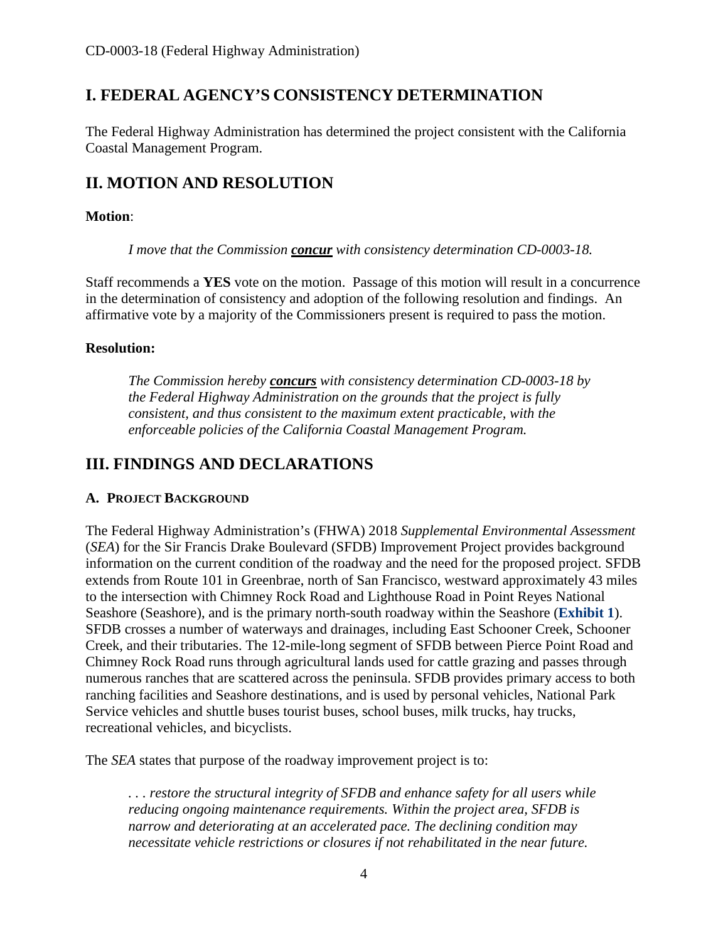## <span id="page-3-0"></span>**I. FEDERAL AGENCY'S CONSISTENCY DETERMINATION**

The Federal Highway Administration has determined the project consistent with the California Coastal Management Program.

## <span id="page-3-1"></span>**II. MOTION AND RESOLUTION**

#### **Motion**:

*I move that the Commission concur with consistency determination CD-0003-18.* 

Staff recommends a **YES** vote on the motion. Passage of this motion will result in a concurrence in the determination of consistency and adoption of the following resolution and findings. An affirmative vote by a majority of the Commissioners present is required to pass the motion.

#### **Resolution:**

*The Commission hereby concurs with consistency determination CD-0003-18 by the Federal Highway Administration on the grounds that the project is fully consistent, and thus consistent to the maximum extent practicable, with the enforceable policies of the California Coastal Management Program.* 

## <span id="page-3-2"></span>**III. FINDINGS AND DECLARATIONS**

#### <span id="page-3-3"></span>**A. PROJECT BACKGROUND**

The Federal Highway Administration's (FHWA) 2018 *Supplemental Environmental Assessment* (*SEA*) for the Sir Francis Drake Boulevard (SFDB) Improvement Project provides background information on the current condition of the roadway and the need for the proposed project. SFDB extends from Route 101 in Greenbrae, north of San Francisco, westward approximately 43 miles to the intersection with Chimney Rock Road and Lighthouse Road in Point Reyes National Seashore (Seashore), and is the primary north-south roadway within the Seashore (**[Exhibit 1](https://documents.coastal.ca.gov/reports/2018/11/F13b/F13b-11-2018-exhibits.pdf)**). SFDB crosses a number of waterways and drainages, including East Schooner Creek, Schooner Creek, and their tributaries. The 12-mile-long segment of SFDB between Pierce Point Road and Chimney Rock Road runs through agricultural lands used for cattle grazing and passes through numerous ranches that are scattered across the peninsula. SFDB provides primary access to both ranching facilities and Seashore destinations, and is used by personal vehicles, National Park Service vehicles and shuttle buses tourist buses, school buses, milk trucks, hay trucks, recreational vehicles, and bicyclists.

The *SEA* states that purpose of the roadway improvement project is to:

*. . . restore the structural integrity of SFDB and enhance safety for all users while reducing ongoing maintenance requirements. Within the project area, SFDB is narrow and deteriorating at an accelerated pace. The declining condition may necessitate vehicle restrictions or closures if not rehabilitated in the near future.*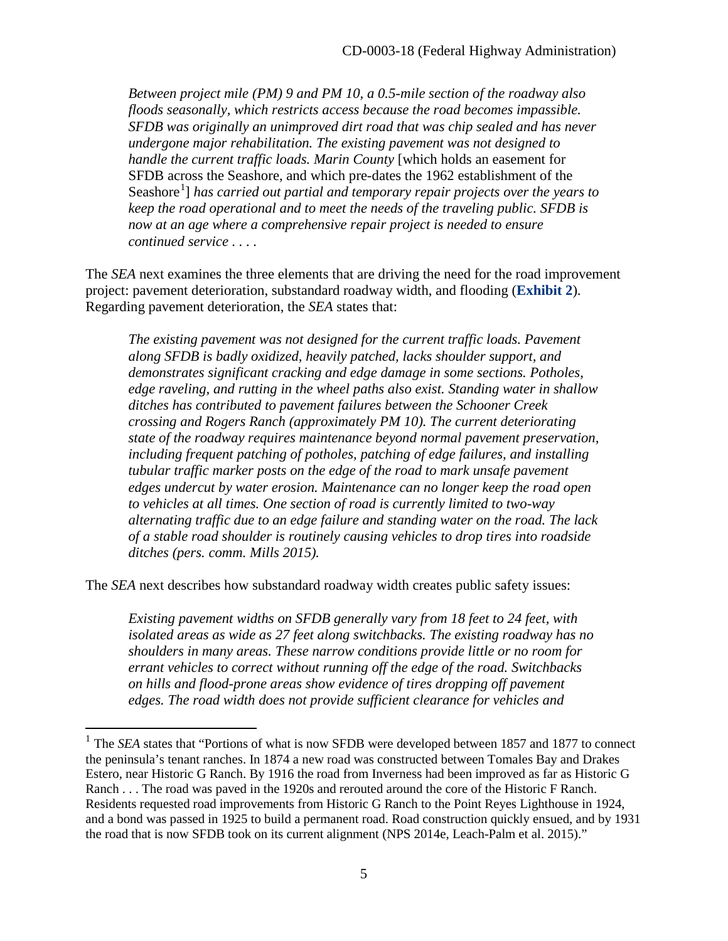*Between project mile (PM) 9 and PM 10, a 0.5-mile section of the roadway also floods seasonally, which restricts access because the road becomes impassible. SFDB was originally an unimproved dirt road that was chip sealed and has never undergone major rehabilitation. The existing pavement was not designed to handle the current traffic loads. Marin County* [which holds an easement for SFDB across the Seashore, and which pre-dates the 1962 establishment of the Seashore<sup>[1](#page-4-0)</sup>] has carried out partial and temporary repair projects over the years to *keep the road operational and to meet the needs of the traveling public. SFDB is now at an age where a comprehensive repair project is needed to ensure continued service . . . .* 

The *SEA* next examines the three elements that are driving the need for the road improvement project: pavement deterioration, substandard roadway width, and flooding (**[Exhibit 2](https://documents.coastal.ca.gov/reports/2018/11/F13b/F13b-11-2018-exhibits.pdf)**). Regarding pavement deterioration, the *SEA* states that:

*The existing pavement was not designed for the current traffic loads. Pavement along SFDB is badly oxidized, heavily patched, lacks shoulder support, and demonstrates significant cracking and edge damage in some sections. Potholes, edge raveling, and rutting in the wheel paths also exist. Standing water in shallow ditches has contributed to pavement failures between the Schooner Creek crossing and Rogers Ranch (approximately PM 10). The current deteriorating state of the roadway requires maintenance beyond normal pavement preservation, including frequent patching of potholes, patching of edge failures, and installing tubular traffic marker posts on the edge of the road to mark unsafe pavement edges undercut by water erosion. Maintenance can no longer keep the road open to vehicles at all times. One section of road is currently limited to two-way alternating traffic due to an edge failure and standing water on the road. The lack of a stable road shoulder is routinely causing vehicles to drop tires into roadside ditches (pers. comm. Mills 2015).* 

The *SEA* next describes how substandard roadway width creates public safety issues:

 $\overline{a}$ 

*Existing pavement widths on SFDB generally vary from 18 feet to 24 feet, with isolated areas as wide as 27 feet along switchbacks. The existing roadway has no shoulders in many areas. These narrow conditions provide little or no room for errant vehicles to correct without running off the edge of the road. Switchbacks on hills and flood-prone areas show evidence of tires dropping off pavement edges. The road width does not provide sufficient clearance for vehicles and* 

<span id="page-4-0"></span><sup>&</sup>lt;sup>1</sup> The *SEA* states that "Portions of what is now SFDB were developed between 1857 and 1877 to connect the peninsula's tenant ranches. In 1874 a new road was constructed between Tomales Bay and Drakes Estero, near Historic G Ranch. By 1916 the road from Inverness had been improved as far as Historic G Ranch . . . The road was paved in the 1920s and rerouted around the core of the Historic F Ranch. Residents requested road improvements from Historic G Ranch to the Point Reyes Lighthouse in 1924, and a bond was passed in 1925 to build a permanent road. Road construction quickly ensued, and by 1931 the road that is now SFDB took on its current alignment (NPS 2014e, Leach-Palm et al. 2015)."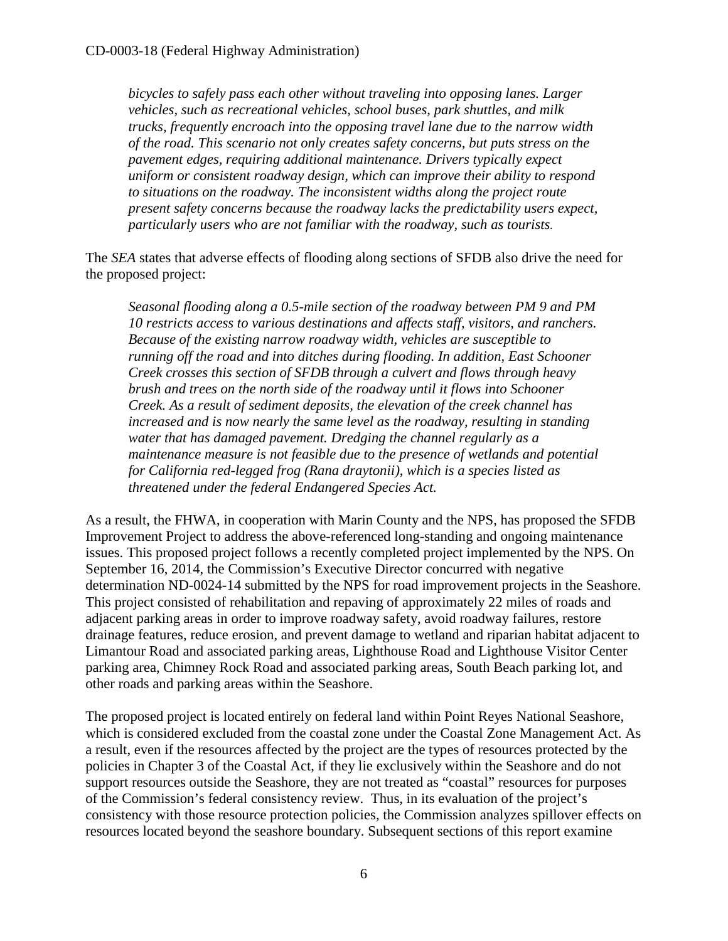*bicycles to safely pass each other without traveling into opposing lanes. Larger vehicles, such as recreational vehicles, school buses, park shuttles, and milk trucks, frequently encroach into the opposing travel lane due to the narrow width of the road. This scenario not only creates safety concerns, but puts stress on the pavement edges, requiring additional maintenance. Drivers typically expect uniform or consistent roadway design, which can improve their ability to respond to situations on the roadway. The inconsistent widths along the project route present safety concerns because the roadway lacks the predictability users expect, particularly users who are not familiar with the roadway, such as tourists.*

The *SEA* states that adverse effects of flooding along sections of SFDB also drive the need for the proposed project:

*Seasonal flooding along a 0.5-mile section of the roadway between PM 9 and PM 10 restricts access to various destinations and affects staff, visitors, and ranchers. Because of the existing narrow roadway width, vehicles are susceptible to running off the road and into ditches during flooding. In addition, East Schooner Creek crosses this section of SFDB through a culvert and flows through heavy brush and trees on the north side of the roadway until it flows into Schooner Creek. As a result of sediment deposits, the elevation of the creek channel has increased and is now nearly the same level as the roadway, resulting in standing water that has damaged pavement. Dredging the channel regularly as a maintenance measure is not feasible due to the presence of wetlands and potential for California red-legged frog (Rana draytonii), which is a species listed as threatened under the federal Endangered Species Act.*

As a result, the FHWA, in cooperation with Marin County and the NPS, has proposed the SFDB Improvement Project to address the above-referenced long-standing and ongoing maintenance issues. This proposed project follows a recently completed project implemented by the NPS. On September 16, 2014, the Commission's Executive Director concurred with negative determination ND-0024-14 submitted by the NPS for road improvement projects in the Seashore. This project consisted of rehabilitation and repaving of approximately 22 miles of roads and adjacent parking areas in order to improve roadway safety, avoid roadway failures, restore drainage features, reduce erosion, and prevent damage to wetland and riparian habitat adjacent to Limantour Road and associated parking areas, Lighthouse Road and Lighthouse Visitor Center parking area, Chimney Rock Road and associated parking areas, South Beach parking lot, and other roads and parking areas within the Seashore.

The proposed project is located entirely on federal land within Point Reyes National Seashore, which is considered excluded from the coastal zone under the Coastal Zone Management Act. As a result, even if the resources affected by the project are the types of resources protected by the policies in Chapter 3 of the Coastal Act, if they lie exclusively within the Seashore and do not support resources outside the Seashore, they are not treated as "coastal" resources for purposes of the Commission's federal consistency review. Thus, in its evaluation of the project's consistency with those resource protection policies, the Commission analyzes spillover effects on resources located beyond the seashore boundary. Subsequent sections of this report examine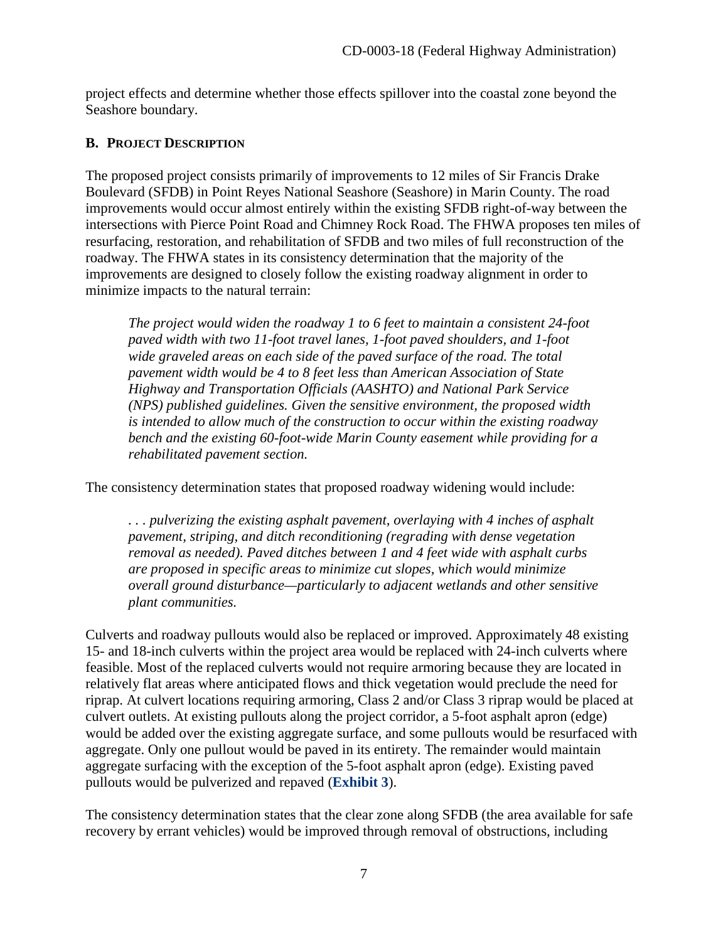project effects and determine whether those effects spillover into the coastal zone beyond the Seashore boundary.

#### <span id="page-6-0"></span>**B. PROJECT DESCRIPTION**

The proposed project consists primarily of improvements to 12 miles of Sir Francis Drake Boulevard (SFDB) in Point Reyes National Seashore (Seashore) in Marin County. The road improvements would occur almost entirely within the existing SFDB right-of-way between the intersections with Pierce Point Road and Chimney Rock Road. The FHWA proposes ten miles of resurfacing, restoration, and rehabilitation of SFDB and two miles of full reconstruction of the roadway. The FHWA states in its consistency determination that the majority of the improvements are designed to closely follow the existing roadway alignment in order to minimize impacts to the natural terrain:

*The project would widen the roadway 1 to 6 feet to maintain a consistent 24-foot paved width with two 11-foot travel lanes, 1-foot paved shoulders, and 1-foot wide graveled areas on each side of the paved surface of the road. The total pavement width would be 4 to 8 feet less than American Association of State Highway and Transportation Officials (AASHTO) and National Park Service (NPS) published guidelines. Given the sensitive environment, the proposed width is intended to allow much of the construction to occur within the existing roadway bench and the existing 60-foot-wide Marin County easement while providing for a rehabilitated pavement section.*

The consistency determination states that proposed roadway widening would include:

*. . . pulverizing the existing asphalt pavement, overlaying with 4 inches of asphalt pavement, striping, and ditch reconditioning (regrading with dense vegetation removal as needed). Paved ditches between 1 and 4 feet wide with asphalt curbs are proposed in specific areas to minimize cut slopes, which would minimize overall ground disturbance—particularly to adjacent wetlands and other sensitive plant communities.* 

Culverts and roadway pullouts would also be replaced or improved. Approximately 48 existing 15- and 18-inch culverts within the project area would be replaced with 24-inch culverts where feasible. Most of the replaced culverts would not require armoring because they are located in relatively flat areas where anticipated flows and thick vegetation would preclude the need for riprap. At culvert locations requiring armoring, Class 2 and/or Class 3 riprap would be placed at culvert outlets. At existing pullouts along the project corridor, a 5-foot asphalt apron (edge) would be added over the existing aggregate surface, and some pullouts would be resurfaced with aggregate. Only one pullout would be paved in its entirety. The remainder would maintain aggregate surfacing with the exception of the 5-foot asphalt apron (edge). Existing paved pullouts would be pulverized and repaved (**[Exhibit 3](https://documents.coastal.ca.gov/reports/2018/11/F13b/F13b-11-2018-exhibits.pdf)**).

The consistency determination states that the clear zone along SFDB (the area available for safe recovery by errant vehicles) would be improved through removal of obstructions, including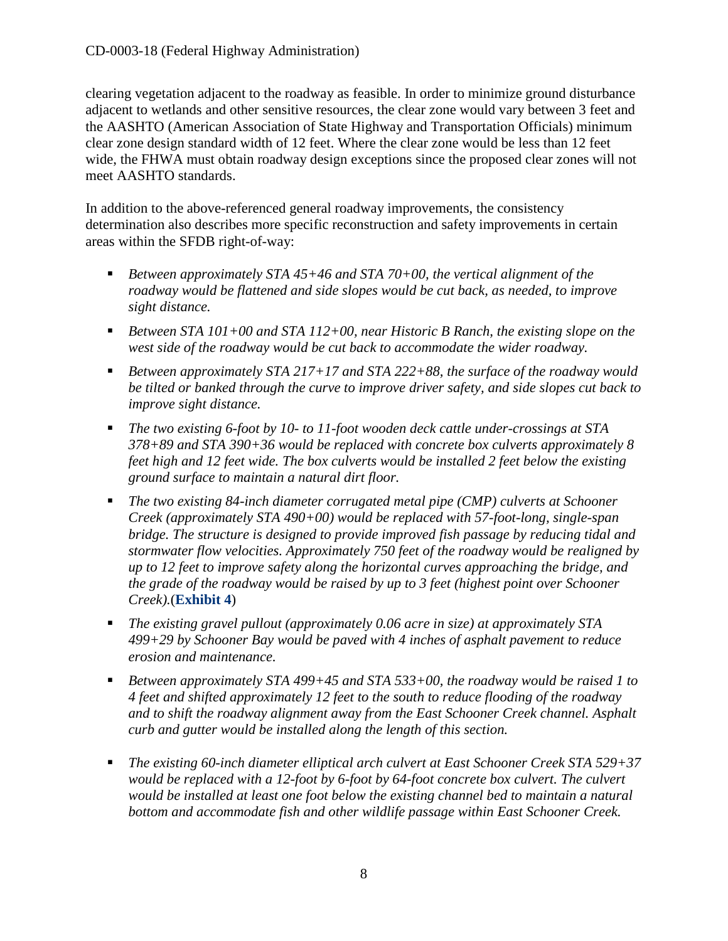clearing vegetation adjacent to the roadway as feasible. In order to minimize ground disturbance adjacent to wetlands and other sensitive resources, the clear zone would vary between 3 feet and the AASHTO (American Association of State Highway and Transportation Officials) minimum clear zone design standard width of 12 feet. Where the clear zone would be less than 12 feet wide, the FHWA must obtain roadway design exceptions since the proposed clear zones will not meet AASHTO standards.

In addition to the above-referenced general roadway improvements, the consistency determination also describes more specific reconstruction and safety improvements in certain areas within the SFDB right-of-way:

- *Between approximately STA 45+46 and STA 70+00, the vertical alignment of the roadway would be flattened and side slopes would be cut back, as needed, to improve sight distance.*
- *Between STA 101+00 and STA 112+00, near Historic B Ranch, the existing slope on the west side of the roadway would be cut back to accommodate the wider roadway.*
- *Between approximately STA 217+17 and STA 222+88, the surface of the roadway would be tilted or banked through the curve to improve driver safety, and side slopes cut back to improve sight distance.*
- *The two existing 6-foot by 10- to 11-foot wooden deck cattle under-crossings at STA 378+89 and STA 390+36 would be replaced with concrete box culverts approximately 8 feet high and 12 feet wide. The box culverts would be installed 2 feet below the existing ground surface to maintain a natural dirt floor.*
- *The two existing 84-inch diameter corrugated metal pipe (CMP) culverts at Schooner Creek (approximately STA 490+00) would be replaced with 57-foot-long, single-span bridge. The structure is designed to provide improved fish passage by reducing tidal and stormwater flow velocities. Approximately 750 feet of the roadway would be realigned by up to 12 feet to improve safety along the horizontal curves approaching the bridge, and the grade of the roadway would be raised by up to 3 feet (highest point over Schooner Creek).*(**[Exhibit 4](https://documents.coastal.ca.gov/reports/2018/11/F13b/F13b-11-2018-exhibits.pdf)**)
- *The existing gravel pullout (approximately 0.06 acre in size) at approximately STA 499+29 by Schooner Bay would be paved with 4 inches of asphalt pavement to reduce erosion and maintenance.*
- *Between approximately STA 499+45 and STA 533+00, the roadway would be raised 1 to 4 feet and shifted approximately 12 feet to the south to reduce flooding of the roadway and to shift the roadway alignment away from the East Schooner Creek channel. Asphalt curb and gutter would be installed along the length of this section.*
- *The existing 60-inch diameter elliptical arch culvert at East Schooner Creek STA 529+37 would be replaced with a 12-foot by 6-foot by 64-foot concrete box culvert. The culvert would be installed at least one foot below the existing channel bed to maintain a natural bottom and accommodate fish and other wildlife passage within East Schooner Creek.*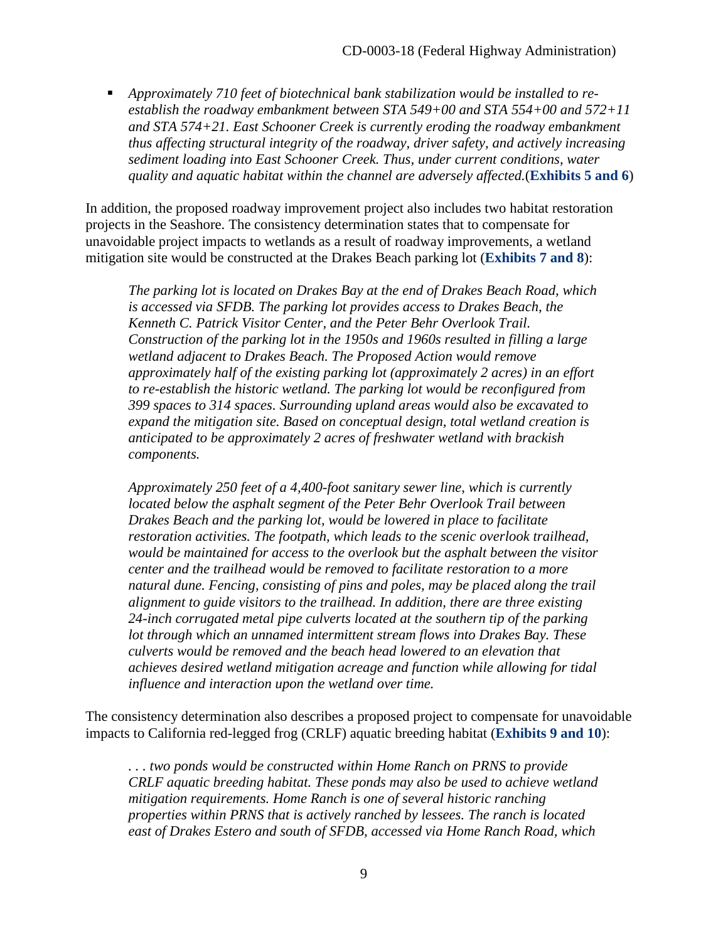*Approximately 710 feet of biotechnical bank stabilization would be installed to reestablish the roadway embankment between STA 549+00 and STA 554+00 and 572+11 and STA 574+21. East Schooner Creek is currently eroding the roadway embankment thus affecting structural integrity of the roadway, driver safety, and actively increasing sediment loading into East Schooner Creek. Thus, under current conditions, water quality and aquatic habitat within the channel are adversely affected.*(**[Exhibits 5 and 6](https://documents.coastal.ca.gov/reports/2018/11/F13b/F13b-11-2018-exhibits.pdf)**)

In addition, the proposed roadway improvement project also includes two habitat restoration projects in the Seashore. The consistency determination states that to compensate for unavoidable project impacts to wetlands as a result of roadway improvements, a wetland mitigation site would be constructed at the Drakes Beach parking lot (**[Exhibits 7 and 8](https://documents.coastal.ca.gov/reports/2018/11/F13b/F13b-11-2018-exhibits.pdf)**):

*The parking lot is located on Drakes Bay at the end of Drakes Beach Road, which is accessed via SFDB. The parking lot provides access to Drakes Beach, the Kenneth C. Patrick Visitor Center, and the Peter Behr Overlook Trail. Construction of the parking lot in the 1950s and 1960s resulted in filling a large wetland adjacent to Drakes Beach. The Proposed Action would remove approximately half of the existing parking lot (approximately 2 acres) in an effort to re-establish the historic wetland. The parking lot would be reconfigured from 399 spaces to 314 spaces. Surrounding upland areas would also be excavated to expand the mitigation site. Based on conceptual design, total wetland creation is anticipated to be approximately 2 acres of freshwater wetland with brackish components.* 

*Approximately 250 feet of a 4,400-foot sanitary sewer line, which is currently located below the asphalt segment of the Peter Behr Overlook Trail between Drakes Beach and the parking lot, would be lowered in place to facilitate restoration activities. The footpath, which leads to the scenic overlook trailhead, would be maintained for access to the overlook but the asphalt between the visitor center and the trailhead would be removed to facilitate restoration to a more natural dune. Fencing, consisting of pins and poles, may be placed along the trail alignment to guide visitors to the trailhead. In addition, there are three existing 24-inch corrugated metal pipe culverts located at the southern tip of the parking lot through which an unnamed intermittent stream flows into Drakes Bay. These culverts would be removed and the beach head lowered to an elevation that achieves desired wetland mitigation acreage and function while allowing for tidal influence and interaction upon the wetland over time.* 

The consistency determination also describes a proposed project to compensate for unavoidable impacts to California red-legged frog (CRLF) aquatic breeding habitat (**[Exhibits 9 and 10](https://documents.coastal.ca.gov/reports/2018/11/F13b/F13b-11-2018-exhibits.pdf)**):

*. . . two ponds would be constructed within Home Ranch on PRNS to provide CRLF aquatic breeding habitat. These ponds may also be used to achieve wetland mitigation requirements. Home Ranch is one of several historic ranching properties within PRNS that is actively ranched by lessees. The ranch is located east of Drakes Estero and south of SFDB, accessed via Home Ranch Road, which*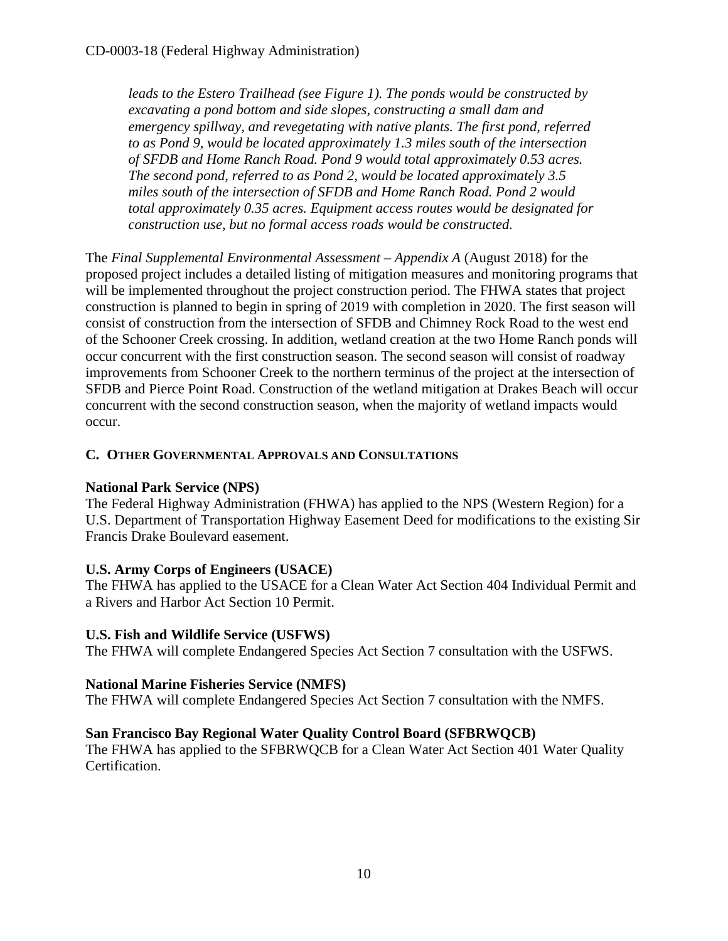*leads to the Estero Trailhead (see Figure 1). The ponds would be constructed by excavating a pond bottom and side slopes, constructing a small dam and emergency spillway, and revegetating with native plants. The first pond, referred to as Pond 9, would be located approximately 1.3 miles south of the intersection of SFDB and Home Ranch Road. Pond 9 would total approximately 0.53 acres. The second pond, referred to as Pond 2, would be located approximately 3.5 miles south of the intersection of SFDB and Home Ranch Road. Pond 2 would total approximately 0.35 acres. Equipment access routes would be designated for construction use, but no formal access roads would be constructed.*

The *Final Supplemental Environmental Assessment* – *Appendix A* (August 2018) for the proposed project includes a detailed listing of mitigation measures and monitoring programs that will be implemented throughout the project construction period. The FHWA states that project construction is planned to begin in spring of 2019 with completion in 2020. The first season will consist of construction from the intersection of SFDB and Chimney Rock Road to the west end of the Schooner Creek crossing. In addition, wetland creation at the two Home Ranch ponds will occur concurrent with the first construction season. The second season will consist of roadway improvements from Schooner Creek to the northern terminus of the project at the intersection of SFDB and Pierce Point Road. Construction of the wetland mitigation at Drakes Beach will occur concurrent with the second construction season, when the majority of wetland impacts would occur.

#### <span id="page-9-0"></span>**C. OTHER GOVERNMENTAL APPROVALS AND CONSULTATIONS**

#### **National Park Service (NPS)**

The Federal Highway Administration (FHWA) has applied to the NPS (Western Region) for a U.S. Department of Transportation Highway Easement Deed for modifications to the existing Sir Francis Drake Boulevard easement.

#### **U.S. Army Corps of Engineers (USACE)**

The FHWA has applied to the USACE for a Clean Water Act Section 404 Individual Permit and a Rivers and Harbor Act Section 10 Permit.

#### **U.S. Fish and Wildlife Service (USFWS)**

The FHWA will complete Endangered Species Act Section 7 consultation with the USFWS.

#### **National Marine Fisheries Service (NMFS)**

The FHWA will complete Endangered Species Act Section 7 consultation with the NMFS.

#### **San Francisco Bay Regional Water Quality Control Board (SFBRWQCB)**

The FHWA has applied to the SFBRWQCB for a Clean Water Act Section 401 Water Quality Certification.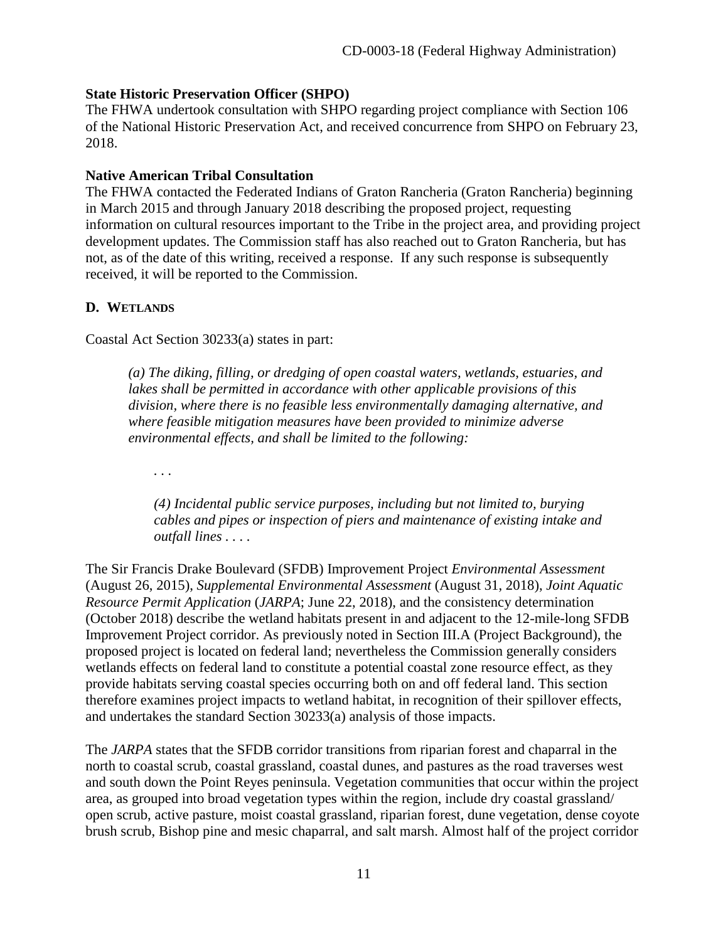#### **State Historic Preservation Officer (SHPO)**

The FHWA undertook consultation with SHPO regarding project compliance with Section 106 of the National Historic Preservation Act, and received concurrence from SHPO on February 23, 2018.

#### **Native American Tribal Consultation**

The FHWA contacted the Federated Indians of Graton Rancheria (Graton Rancheria) beginning in March 2015 and through January 2018 describing the proposed project, requesting information on cultural resources important to the Tribe in the project area, and providing project development updates. The Commission staff has also reached out to Graton Rancheria, but has not, as of the date of this writing, received a response. If any such response is subsequently received, it will be reported to the Commission.

#### <span id="page-10-0"></span>**D. WETLANDS**

Coastal Act Section 30233(a) states in part:

*(a) The diking, filling, or dredging of open coastal waters, wetlands, estuaries, and lakes shall be permitted in accordance with other applicable provisions of this division, where there is no feasible less environmentally damaging alternative, and where feasible mitigation measures have been provided to minimize adverse environmental effects, and shall be limited to the following:* 

*. . .* 

*(4) Incidental public service purposes, including but not limited to, burying cables and pipes or inspection of piers and maintenance of existing intake and outfall lines . . . .* 

The Sir Francis Drake Boulevard (SFDB) Improvement Project *Environmental Assessment* (August 26, 2015), *Supplemental Environmental Assessment* (August 31, 2018), *Joint Aquatic Resource Permit Application* (*JARPA*; June 22, 2018), and the consistency determination (October 2018) describe the wetland habitats present in and adjacent to the 12-mile-long SFDB Improvement Project corridor. As previously noted in Section III.A (Project Background), the proposed project is located on federal land; nevertheless the Commission generally considers wetlands effects on federal land to constitute a potential coastal zone resource effect, as they provide habitats serving coastal species occurring both on and off federal land. This section therefore examines project impacts to wetland habitat, in recognition of their spillover effects, and undertakes the standard Section 30233(a) analysis of those impacts.

The *JARPA* states that the SFDB corridor transitions from riparian forest and chaparral in the north to coastal scrub, coastal grassland, coastal dunes, and pastures as the road traverses west and south down the Point Reyes peninsula. Vegetation communities that occur within the project area, as grouped into broad vegetation types within the region, include dry coastal grassland/ open scrub, active pasture, moist coastal grassland, riparian forest, dune vegetation, dense coyote brush scrub, Bishop pine and mesic chaparral, and salt marsh. Almost half of the project corridor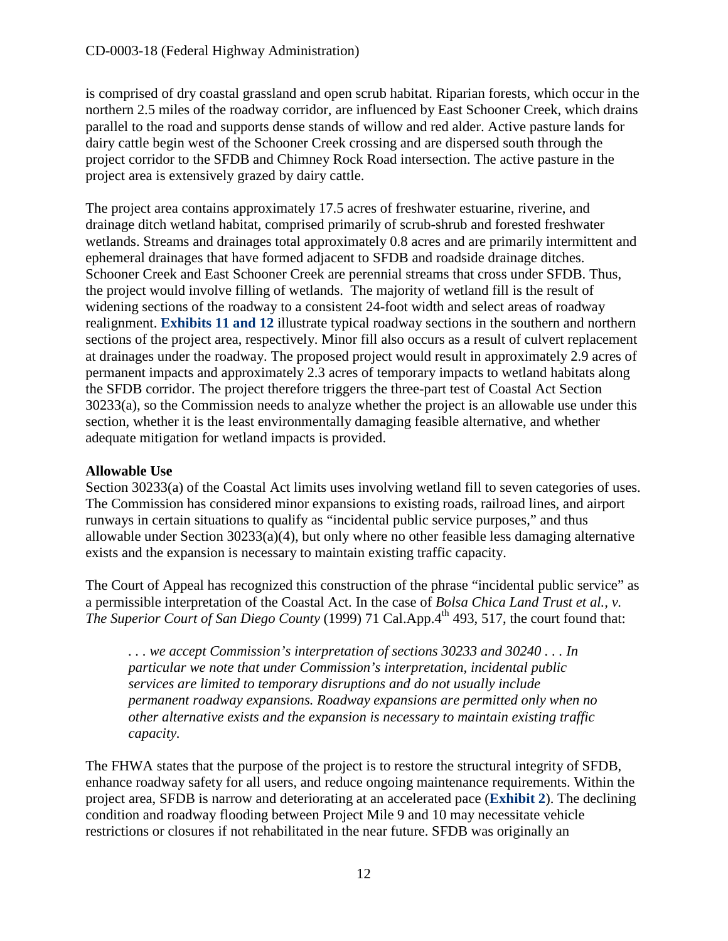is comprised of dry coastal grassland and open scrub habitat. Riparian forests, which occur in the northern 2.5 miles of the roadway corridor, are influenced by East Schooner Creek, which drains parallel to the road and supports dense stands of willow and red alder. Active pasture lands for dairy cattle begin west of the Schooner Creek crossing and are dispersed south through the project corridor to the SFDB and Chimney Rock Road intersection. The active pasture in the project area is extensively grazed by dairy cattle.

The project area contains approximately 17.5 acres of freshwater estuarine, riverine, and drainage ditch wetland habitat, comprised primarily of scrub-shrub and forested freshwater wetlands. Streams and drainages total approximately 0.8 acres and are primarily intermittent and ephemeral drainages that have formed adjacent to SFDB and roadside drainage ditches. Schooner Creek and East Schooner Creek are perennial streams that cross under SFDB. Thus, the project would involve filling of wetlands. The majority of wetland fill is the result of widening sections of the roadway to a consistent 24-foot width and select areas of roadway realignment. **[Exhibits 11 and 12](https://documents.coastal.ca.gov/reports/2018/11/F13b/F13b-11-2018-exhibits.pdf)** illustrate typical roadway sections in the southern and northern sections of the project area, respectively. Minor fill also occurs as a result of culvert replacement at drainages under the roadway. The proposed project would result in approximately 2.9 acres of permanent impacts and approximately 2.3 acres of temporary impacts to wetland habitats along the SFDB corridor. The project therefore triggers the three-part test of Coastal Act Section 30233(a), so the Commission needs to analyze whether the project is an allowable use under this section, whether it is the least environmentally damaging feasible alternative, and whether adequate mitigation for wetland impacts is provided.

#### **Allowable Use**

Section 30233(a) of the Coastal Act limits uses involving wetland fill to seven categories of uses. The Commission has considered minor expansions to existing roads, railroad lines, and airport runways in certain situations to qualify as "incidental public service purposes," and thus allowable under Section 30233(a)(4), but only where no other feasible less damaging alternative exists and the expansion is necessary to maintain existing traffic capacity.

The Court of Appeal has recognized this construction of the phrase "incidental public service" as a permissible interpretation of the Coastal Act. In the case of *Bolsa Chica Land Trust et al., v. The Superior Court of San Diego County* (1999) 71 Cal.App.4<sup>th</sup> 493, 517, the court found that:

*. . . we accept Commission's interpretation of sections 30233 and 30240 . . . In particular we note that under Commission's interpretation, incidental public services are limited to temporary disruptions and do not usually include permanent roadway expansions. Roadway expansions are permitted only when no other alternative exists and the expansion is necessary to maintain existing traffic capacity.*

The FHWA states that the purpose of the project is to restore the structural integrity of SFDB, enhance roadway safety for all users, and reduce ongoing maintenance requirements. Within the project area, SFDB is narrow and deteriorating at an accelerated pace (**[Exhibit 2](https://documents.coastal.ca.gov/reports/2018/11/F13b/F13b-11-2018-exhibits.pdf)**). The declining condition and roadway flooding between Project Mile 9 and 10 may necessitate vehicle restrictions or closures if not rehabilitated in the near future. SFDB was originally an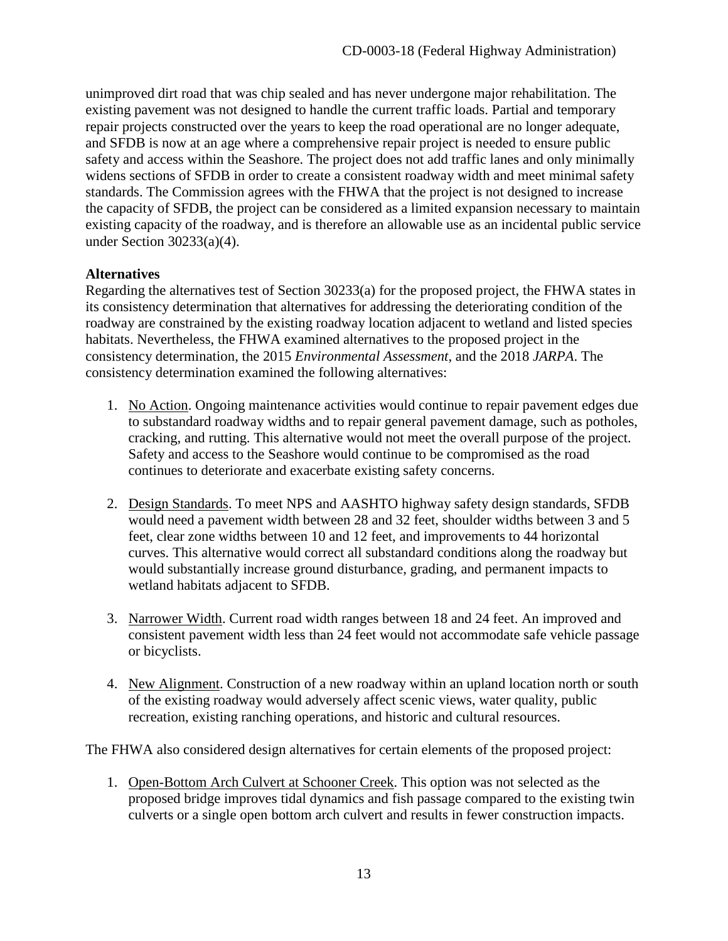unimproved dirt road that was chip sealed and has never undergone major rehabilitation. The existing pavement was not designed to handle the current traffic loads. Partial and temporary repair projects constructed over the years to keep the road operational are no longer adequate, and SFDB is now at an age where a comprehensive repair project is needed to ensure public safety and access within the Seashore. The project does not add traffic lanes and only minimally widens sections of SFDB in order to create a consistent roadway width and meet minimal safety standards. The Commission agrees with the FHWA that the project is not designed to increase the capacity of SFDB, the project can be considered as a limited expansion necessary to maintain existing capacity of the roadway, and is therefore an allowable use as an incidental public service under Section 30233(a)(4).

#### **Alternatives**

Regarding the alternatives test of Section 30233(a) for the proposed project, the FHWA states in its consistency determination that alternatives for addressing the deteriorating condition of the roadway are constrained by the existing roadway location adjacent to wetland and listed species habitats. Nevertheless, the FHWA examined alternatives to the proposed project in the consistency determination, the 2015 *Environmental Assessment*, and the 2018 *JARPA*. The consistency determination examined the following alternatives:

- 1. No Action. Ongoing maintenance activities would continue to repair pavement edges due to substandard roadway widths and to repair general pavement damage, such as potholes, cracking, and rutting. This alternative would not meet the overall purpose of the project. Safety and access to the Seashore would continue to be compromised as the road continues to deteriorate and exacerbate existing safety concerns.
- 2. Design Standards. To meet NPS and AASHTO highway safety design standards, SFDB would need a pavement width between 28 and 32 feet, shoulder widths between 3 and 5 feet, clear zone widths between 10 and 12 feet, and improvements to 44 horizontal curves. This alternative would correct all substandard conditions along the roadway but would substantially increase ground disturbance, grading, and permanent impacts to wetland habitats adjacent to SFDB.
- 3. Narrower Width. Current road width ranges between 18 and 24 feet. An improved and consistent pavement width less than 24 feet would not accommodate safe vehicle passage or bicyclists.
- 4. New Alignment. Construction of a new roadway within an upland location north or south of the existing roadway would adversely affect scenic views, water quality, public recreation, existing ranching operations, and historic and cultural resources.

The FHWA also considered design alternatives for certain elements of the proposed project:

1. Open-Bottom Arch Culvert at Schooner Creek. This option was not selected as the proposed bridge improves tidal dynamics and fish passage compared to the existing twin culverts or a single open bottom arch culvert and results in fewer construction impacts.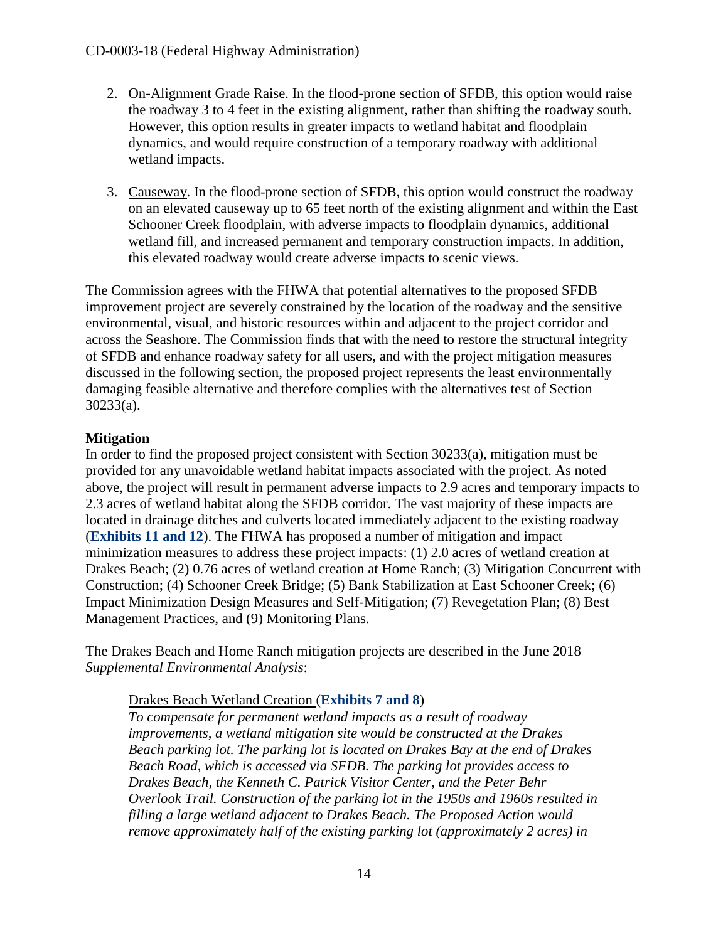- 2. On-Alignment Grade Raise. In the flood-prone section of SFDB, this option would raise the roadway 3 to 4 feet in the existing alignment, rather than shifting the roadway south. However, this option results in greater impacts to wetland habitat and floodplain dynamics, and would require construction of a temporary roadway with additional wetland impacts.
- 3. Causeway. In the flood-prone section of SFDB, this option would construct the roadway on an elevated causeway up to 65 feet north of the existing alignment and within the East Schooner Creek floodplain, with adverse impacts to floodplain dynamics, additional wetland fill, and increased permanent and temporary construction impacts. In addition, this elevated roadway would create adverse impacts to scenic views.

The Commission agrees with the FHWA that potential alternatives to the proposed SFDB improvement project are severely constrained by the location of the roadway and the sensitive environmental, visual, and historic resources within and adjacent to the project corridor and across the Seashore. The Commission finds that with the need to restore the structural integrity of SFDB and enhance roadway safety for all users, and with the project mitigation measures discussed in the following section, the proposed project represents the least environmentally damaging feasible alternative and therefore complies with the alternatives test of Section 30233(a).

### **Mitigation**

In order to find the proposed project consistent with Section 30233(a), mitigation must be provided for any unavoidable wetland habitat impacts associated with the project. As noted above, the project will result in permanent adverse impacts to 2.9 acres and temporary impacts to 2.3 acres of wetland habitat along the SFDB corridor. The vast majority of these impacts are located in drainage ditches and culverts located immediately adjacent to the existing roadway (**[Exhibits 11 and 12](https://documents.coastal.ca.gov/reports/2018/11/F13b/F13b-11-2018-exhibits.pdf)**). The FHWA has proposed a number of mitigation and impact minimization measures to address these project impacts: (1) 2.0 acres of wetland creation at Drakes Beach; (2) 0.76 acres of wetland creation at Home Ranch; (3) Mitigation Concurrent with Construction; (4) Schooner Creek Bridge; (5) Bank Stabilization at East Schooner Creek; (6) Impact Minimization Design Measures and Self-Mitigation; (7) Revegetation Plan; (8) Best Management Practices, and (9) Monitoring Plans.

The Drakes Beach and Home Ranch mitigation projects are described in the June 2018 *Supplemental Environmental Analysis*:

#### Drakes Beach Wetland Creation (**[Exhibits 7 and 8](https://documents.coastal.ca.gov/reports/2018/11/F13b/F13b-11-2018-exhibits.pdf)**)

*To compensate for permanent wetland impacts as a result of roadway improvements, a wetland mitigation site would be constructed at the Drakes Beach parking lot. The parking lot is located on Drakes Bay at the end of Drakes Beach Road, which is accessed via SFDB. The parking lot provides access to Drakes Beach, the Kenneth C. Patrick Visitor Center, and the Peter Behr Overlook Trail. Construction of the parking lot in the 1950s and 1960s resulted in filling a large wetland adjacent to Drakes Beach. The Proposed Action would remove approximately half of the existing parking lot (approximately 2 acres) in*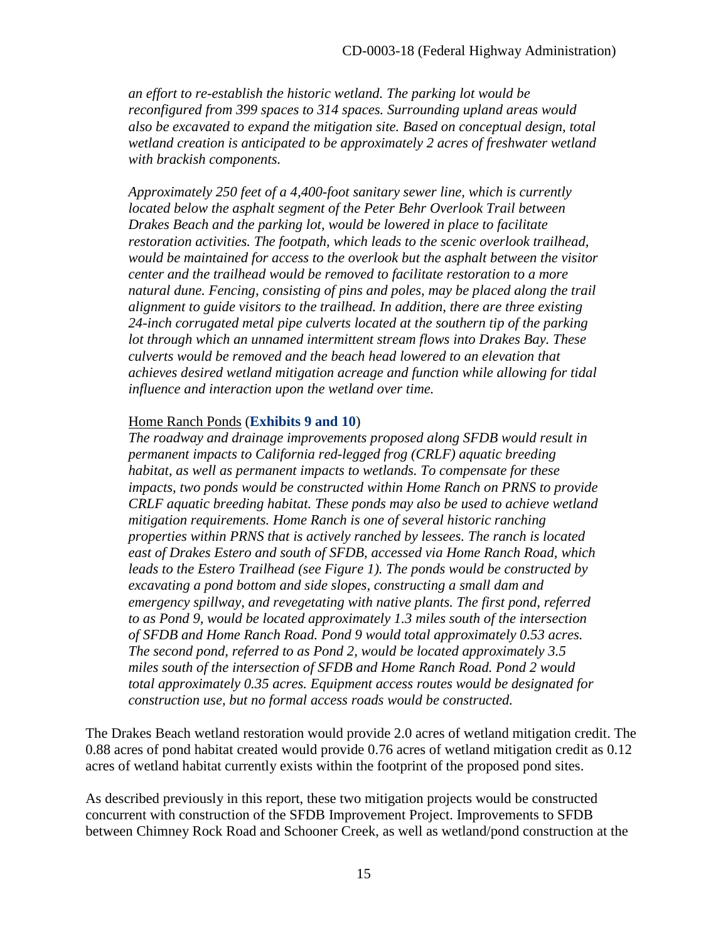*an effort to re-establish the historic wetland. The parking lot would be reconfigured from 399 spaces to 314 spaces. Surrounding upland areas would also be excavated to expand the mitigation site. Based on conceptual design, total wetland creation is anticipated to be approximately 2 acres of freshwater wetland with brackish components.*

*Approximately 250 feet of a 4,400-foot sanitary sewer line, which is currently*  located below the asphalt segment of the Peter Behr Overlook Trail between *Drakes Beach and the parking lot, would be lowered in place to facilitate restoration activities. The footpath, which leads to the scenic overlook trailhead, would be maintained for access to the overlook but the asphalt between the visitor center and the trailhead would be removed to facilitate restoration to a more natural dune. Fencing, consisting of pins and poles, may be placed along the trail alignment to guide visitors to the trailhead. In addition, there are three existing 24-inch corrugated metal pipe culverts located at the southern tip of the parking lot through which an unnamed intermittent stream flows into Drakes Bay. These culverts would be removed and the beach head lowered to an elevation that achieves desired wetland mitigation acreage and function while allowing for tidal influence and interaction upon the wetland over time.* 

#### Home Ranch Ponds (**[Exhibits 9 and 10](https://documents.coastal.ca.gov/reports/2018/11/F13b/F13b-11-2018-exhibits.pdf)**)

*The roadway and drainage improvements proposed along SFDB would result in permanent impacts to California red-legged frog (CRLF) aquatic breeding habitat, as well as permanent impacts to wetlands. To compensate for these impacts, two ponds would be constructed within Home Ranch on PRNS to provide CRLF aquatic breeding habitat. These ponds may also be used to achieve wetland mitigation requirements. Home Ranch is one of several historic ranching properties within PRNS that is actively ranched by lessees. The ranch is located east of Drakes Estero and south of SFDB, accessed via Home Ranch Road, which leads to the Estero Trailhead (see Figure 1). The ponds would be constructed by excavating a pond bottom and side slopes, constructing a small dam and emergency spillway, and revegetating with native plants. The first pond, referred to as Pond 9, would be located approximately 1.3 miles south of the intersection of SFDB and Home Ranch Road. Pond 9 would total approximately 0.53 acres. The second pond, referred to as Pond 2, would be located approximately 3.5 miles south of the intersection of SFDB and Home Ranch Road. Pond 2 would total approximately 0.35 acres. Equipment access routes would be designated for construction use, but no formal access roads would be constructed.* 

The Drakes Beach wetland restoration would provide 2.0 acres of wetland mitigation credit. The 0.88 acres of pond habitat created would provide 0.76 acres of wetland mitigation credit as 0.12 acres of wetland habitat currently exists within the footprint of the proposed pond sites.

As described previously in this report, these two mitigation projects would be constructed concurrent with construction of the SFDB Improvement Project. Improvements to SFDB between Chimney Rock Road and Schooner Creek, as well as wetland/pond construction at the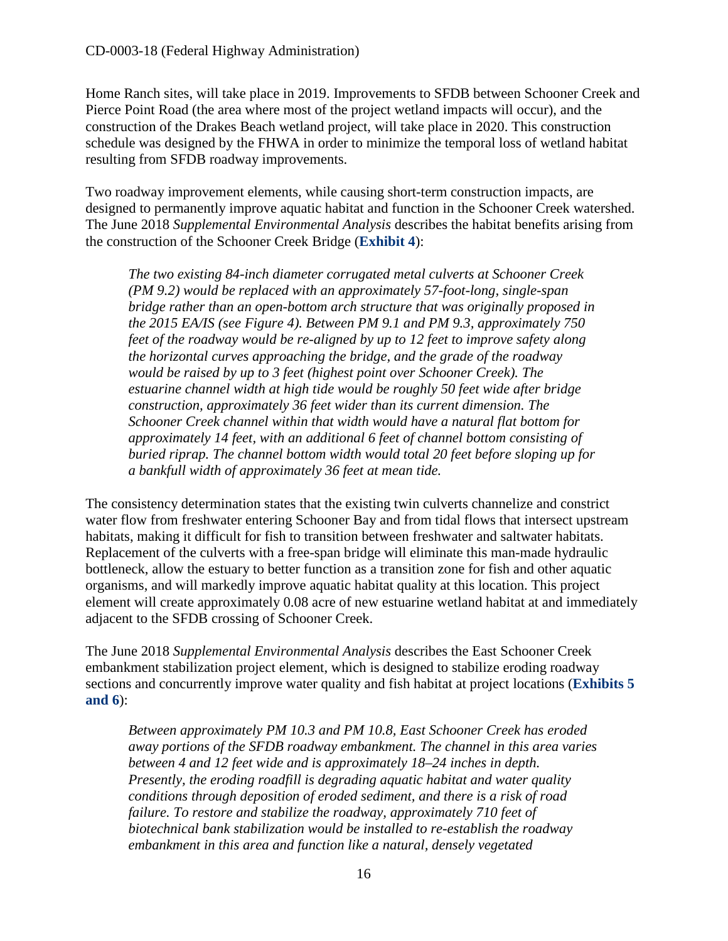Home Ranch sites, will take place in 2019. Improvements to SFDB between Schooner Creek and Pierce Point Road (the area where most of the project wetland impacts will occur), and the construction of the Drakes Beach wetland project, will take place in 2020. This construction schedule was designed by the FHWA in order to minimize the temporal loss of wetland habitat resulting from SFDB roadway improvements.

Two roadway improvement elements, while causing short-term construction impacts, are designed to permanently improve aquatic habitat and function in the Schooner Creek watershed. The June 2018 *Supplemental Environmental Analysis* describes the habitat benefits arising from the construction of the Schooner Creek Bridge (**[Exhibit 4](https://documents.coastal.ca.gov/reports/2018/11/F13b/F13b-11-2018-exhibits.pdf)**):

*The two existing 84-inch diameter corrugated metal culverts at Schooner Creek (PM 9.2) would be replaced with an approximately 57-foot-long, single-span bridge rather than an open-bottom arch structure that was originally proposed in the 2015 EA/IS (see Figure 4). Between PM 9.1 and PM 9.3, approximately 750 feet of the roadway would be re-aligned by up to 12 feet to improve safety along the horizontal curves approaching the bridge, and the grade of the roadway would be raised by up to 3 feet (highest point over Schooner Creek). The estuarine channel width at high tide would be roughly 50 feet wide after bridge construction, approximately 36 feet wider than its current dimension. The Schooner Creek channel within that width would have a natural flat bottom for approximately 14 feet, with an additional 6 feet of channel bottom consisting of buried riprap. The channel bottom width would total 20 feet before sloping up for a bankfull width of approximately 36 feet at mean tide.* 

The consistency determination states that the existing twin culverts channelize and constrict water flow from freshwater entering Schooner Bay and from tidal flows that intersect upstream habitats, making it difficult for fish to transition between freshwater and saltwater habitats. Replacement of the culverts with a free-span bridge will eliminate this man-made hydraulic bottleneck, allow the estuary to better function as a transition zone for fish and other aquatic organisms, and will markedly improve aquatic habitat quality at this location. This project element will create approximately 0.08 acre of new estuarine wetland habitat at and immediately adjacent to the SFDB crossing of Schooner Creek.

The June 2018 *Supplemental Environmental Analysis* describes the East Schooner Creek embankment stabilization project element, which is designed to stabilize eroding roadway sections and concurrently improve water quality and fish habitat at project locations (**[Exhibits 5](https://documents.coastal.ca.gov/reports/2018/11/F13b/F13b-11-2018-exhibits.pdf)  [and 6](https://documents.coastal.ca.gov/reports/2018/11/F13b/F13b-11-2018-exhibits.pdf)**):

*Between approximately PM 10.3 and PM 10.8, East Schooner Creek has eroded away portions of the SFDB roadway embankment. The channel in this area varies between 4 and 12 feet wide and is approximately 18–24 inches in depth. Presently, the eroding roadfill is degrading aquatic habitat and water quality conditions through deposition of eroded sediment, and there is a risk of road failure. To restore and stabilize the roadway, approximately 710 feet of biotechnical bank stabilization would be installed to re-establish the roadway embankment in this area and function like a natural, densely vegetated*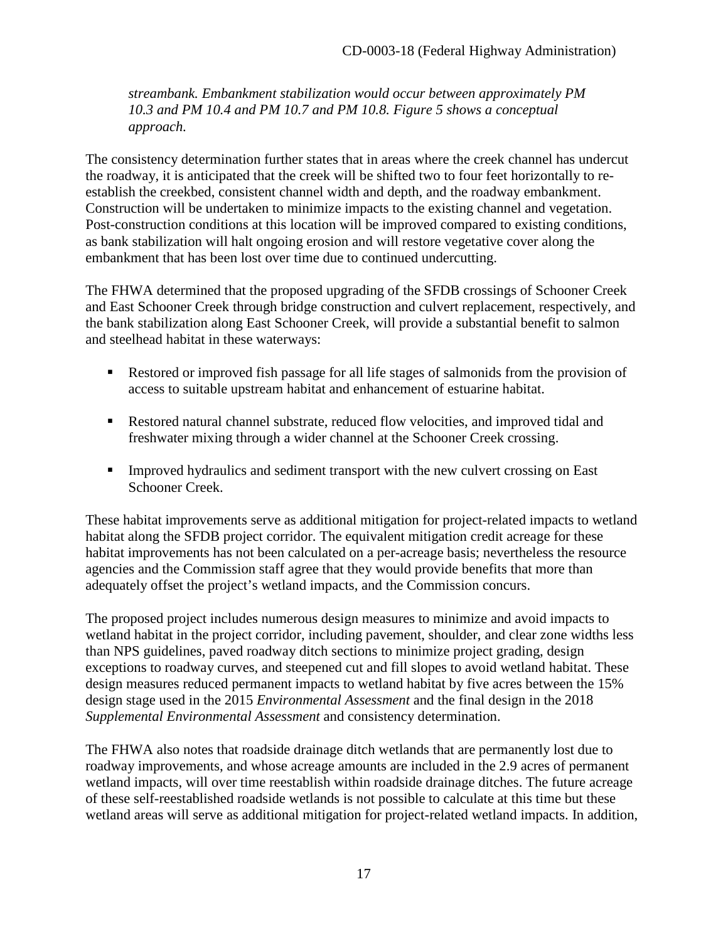*streambank. Embankment stabilization would occur between approximately PM 10.3 and PM 10.4 and PM 10.7 and PM 10.8. Figure 5 shows a conceptual approach.* 

The consistency determination further states that in areas where the creek channel has undercut the roadway, it is anticipated that the creek will be shifted two to four feet horizontally to reestablish the creekbed, consistent channel width and depth, and the roadway embankment. Construction will be undertaken to minimize impacts to the existing channel and vegetation. Post-construction conditions at this location will be improved compared to existing conditions, as bank stabilization will halt ongoing erosion and will restore vegetative cover along the embankment that has been lost over time due to continued undercutting.

The FHWA determined that the proposed upgrading of the SFDB crossings of Schooner Creek and East Schooner Creek through bridge construction and culvert replacement, respectively, and the bank stabilization along East Schooner Creek, will provide a substantial benefit to salmon and steelhead habitat in these waterways:

- Restored or improved fish passage for all life stages of salmonids from the provision of access to suitable upstream habitat and enhancement of estuarine habitat.
- Restored natural channel substrate, reduced flow velocities, and improved tidal and freshwater mixing through a wider channel at the Schooner Creek crossing.
- Improved hydraulics and sediment transport with the new culvert crossing on East Schooner Creek.

These habitat improvements serve as additional mitigation for project-related impacts to wetland habitat along the SFDB project corridor. The equivalent mitigation credit acreage for these habitat improvements has not been calculated on a per-acreage basis; nevertheless the resource agencies and the Commission staff agree that they would provide benefits that more than adequately offset the project's wetland impacts, and the Commission concurs.

The proposed project includes numerous design measures to minimize and avoid impacts to wetland habitat in the project corridor, including pavement, shoulder, and clear zone widths less than NPS guidelines, paved roadway ditch sections to minimize project grading, design exceptions to roadway curves, and steepened cut and fill slopes to avoid wetland habitat. These design measures reduced permanent impacts to wetland habitat by five acres between the 15% design stage used in the 2015 *Environmental Assessment* and the final design in the 2018 *Supplemental Environmental Assessment* and consistency determination.

The FHWA also notes that roadside drainage ditch wetlands that are permanently lost due to roadway improvements, and whose acreage amounts are included in the 2.9 acres of permanent wetland impacts, will over time reestablish within roadside drainage ditches. The future acreage of these self-reestablished roadside wetlands is not possible to calculate at this time but these wetland areas will serve as additional mitigation for project-related wetland impacts. In addition,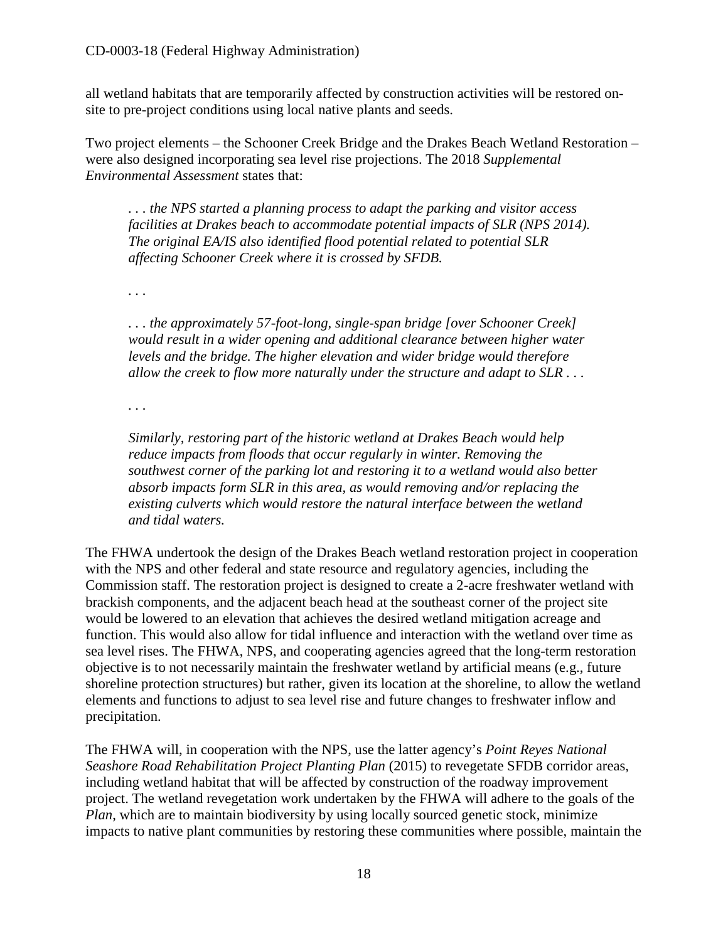all wetland habitats that are temporarily affected by construction activities will be restored onsite to pre-project conditions using local native plants and seeds.

Two project elements – the Schooner Creek Bridge and the Drakes Beach Wetland Restoration – were also designed incorporating sea level rise projections. The 2018 *Supplemental Environmental Assessment* states that:

*. . . the NPS started a planning process to adapt the parking and visitor access facilities at Drakes beach to accommodate potential impacts of SLR (NPS 2014). The original EA/IS also identified flood potential related to potential SLR affecting Schooner Creek where it is crossed by SFDB.* 

*. . .* 

*. . . the approximately 57-foot-long, single-span bridge [over Schooner Creek] would result in a wider opening and additional clearance between higher water levels and the bridge. The higher elevation and wider bridge would therefore allow the creek to flow more naturally under the structure and adapt to SLR . . .* 

*. . .* 

*Similarly, restoring part of the historic wetland at Drakes Beach would help reduce impacts from floods that occur regularly in winter. Removing the southwest corner of the parking lot and restoring it to a wetland would also better absorb impacts form SLR in this area, as would removing and/or replacing the existing culverts which would restore the natural interface between the wetland and tidal waters.* 

The FHWA undertook the design of the Drakes Beach wetland restoration project in cooperation with the NPS and other federal and state resource and regulatory agencies, including the Commission staff. The restoration project is designed to create a 2-acre freshwater wetland with brackish components, and the adjacent beach head at the southeast corner of the project site would be lowered to an elevation that achieves the desired wetland mitigation acreage and function. This would also allow for tidal influence and interaction with the wetland over time as sea level rises. The FHWA, NPS, and cooperating agencies agreed that the long-term restoration objective is to not necessarily maintain the freshwater wetland by artificial means (e.g., future shoreline protection structures) but rather, given its location at the shoreline, to allow the wetland elements and functions to adjust to sea level rise and future changes to freshwater inflow and precipitation.

The FHWA will, in cooperation with the NPS, use the latter agency's *Point Reyes National Seashore Road Rehabilitation Project Planting Plan* (2015) to revegetate SFDB corridor areas, including wetland habitat that will be affected by construction of the roadway improvement project. The wetland revegetation work undertaken by the FHWA will adhere to the goals of the *Plan*, which are to maintain biodiversity by using locally sourced genetic stock, minimize impacts to native plant communities by restoring these communities where possible, maintain the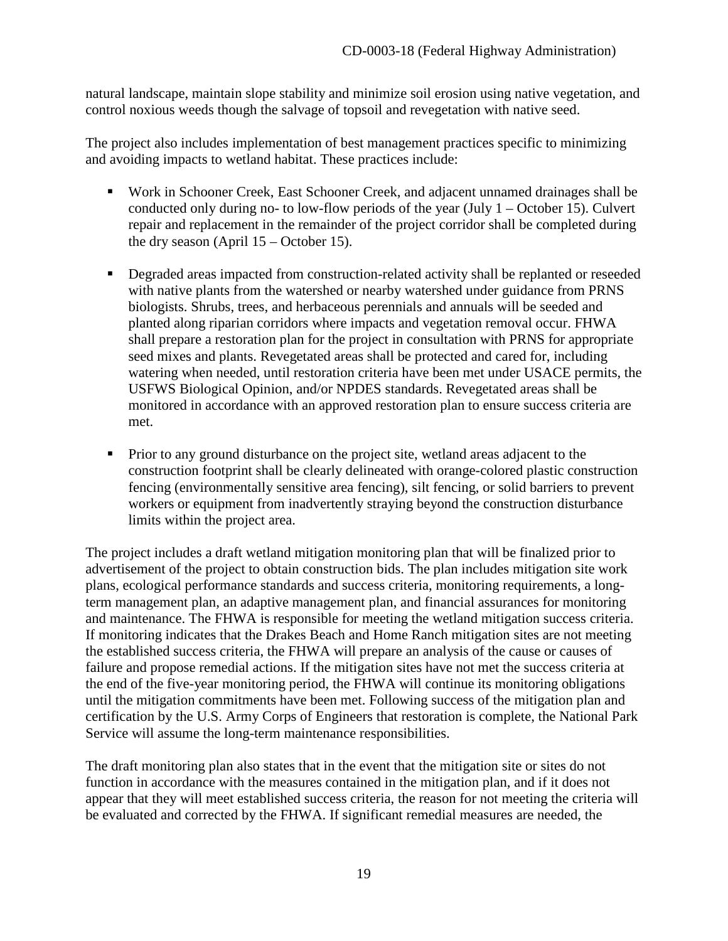natural landscape, maintain slope stability and minimize soil erosion using native vegetation, and control noxious weeds though the salvage of topsoil and revegetation with native seed.

The project also includes implementation of best management practices specific to minimizing and avoiding impacts to wetland habitat. These practices include:

- Work in Schooner Creek, East Schooner Creek, and adjacent unnamed drainages shall be conducted only during no- to low-flow periods of the year (July  $1 -$ October 15). Culvert repair and replacement in the remainder of the project corridor shall be completed during the dry season (April 15 – October 15).
- **•** Degraded areas impacted from construction-related activity shall be replanted or reseeded with native plants from the watershed or nearby watershed under guidance from PRNS biologists. Shrubs, trees, and herbaceous perennials and annuals will be seeded and planted along riparian corridors where impacts and vegetation removal occur. FHWA shall prepare a restoration plan for the project in consultation with PRNS for appropriate seed mixes and plants. Revegetated areas shall be protected and cared for, including watering when needed, until restoration criteria have been met under USACE permits, the USFWS Biological Opinion, and/or NPDES standards. Revegetated areas shall be monitored in accordance with an approved restoration plan to ensure success criteria are met.
- **Prior to any ground disturbance on the project site, wetland areas adjacent to the** construction footprint shall be clearly delineated with orange-colored plastic construction fencing (environmentally sensitive area fencing), silt fencing, or solid barriers to prevent workers or equipment from inadvertently straying beyond the construction disturbance limits within the project area.

The project includes a draft wetland mitigation monitoring plan that will be finalized prior to advertisement of the project to obtain construction bids. The plan includes mitigation site work plans, ecological performance standards and success criteria, monitoring requirements, a longterm management plan, an adaptive management plan, and financial assurances for monitoring and maintenance. The FHWA is responsible for meeting the wetland mitigation success criteria. If monitoring indicates that the Drakes Beach and Home Ranch mitigation sites are not meeting the established success criteria, the FHWA will prepare an analysis of the cause or causes of failure and propose remedial actions. If the mitigation sites have not met the success criteria at the end of the five-year monitoring period, the FHWA will continue its monitoring obligations until the mitigation commitments have been met. Following success of the mitigation plan and certification by the U.S. Army Corps of Engineers that restoration is complete, the National Park Service will assume the long-term maintenance responsibilities.

The draft monitoring plan also states that in the event that the mitigation site or sites do not function in accordance with the measures contained in the mitigation plan, and if it does not appear that they will meet established success criteria, the reason for not meeting the criteria will be evaluated and corrected by the FHWA. If significant remedial measures are needed, the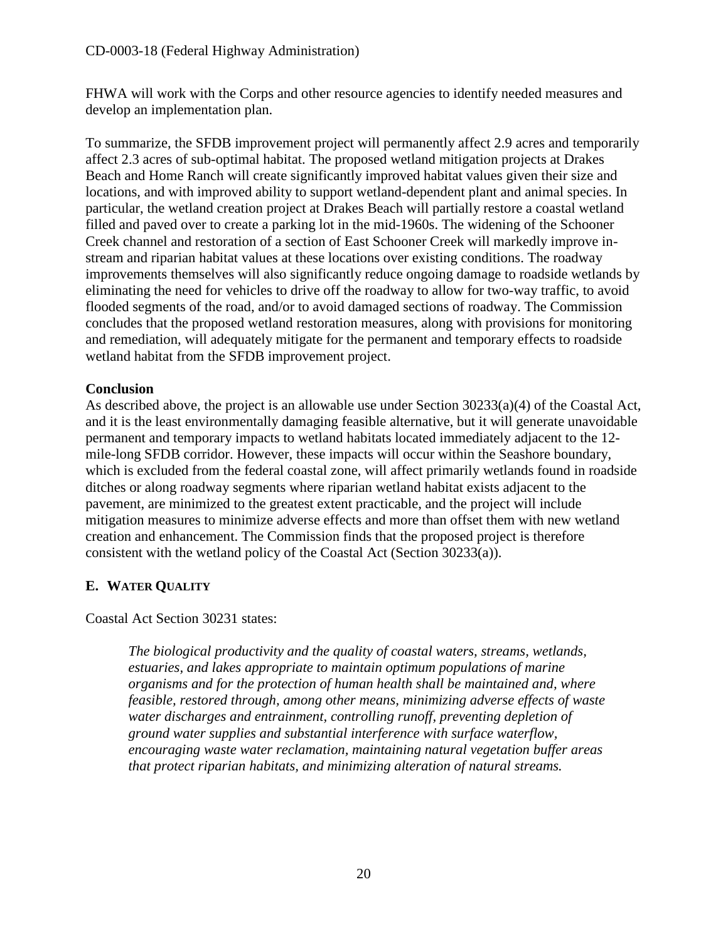FHWA will work with the Corps and other resource agencies to identify needed measures and develop an implementation plan.

To summarize, the SFDB improvement project will permanently affect 2.9 acres and temporarily affect 2.3 acres of sub-optimal habitat. The proposed wetland mitigation projects at Drakes Beach and Home Ranch will create significantly improved habitat values given their size and locations, and with improved ability to support wetland-dependent plant and animal species. In particular, the wetland creation project at Drakes Beach will partially restore a coastal wetland filled and paved over to create a parking lot in the mid-1960s. The widening of the Schooner Creek channel and restoration of a section of East Schooner Creek will markedly improve instream and riparian habitat values at these locations over existing conditions. The roadway improvements themselves will also significantly reduce ongoing damage to roadside wetlands by eliminating the need for vehicles to drive off the roadway to allow for two-way traffic, to avoid flooded segments of the road, and/or to avoid damaged sections of roadway. The Commission concludes that the proposed wetland restoration measures, along with provisions for monitoring and remediation, will adequately mitigate for the permanent and temporary effects to roadside wetland habitat from the SFDB improvement project.

#### **Conclusion**

As described above, the project is an allowable use under Section 30233(a)(4) of the Coastal Act, and it is the least environmentally damaging feasible alternative, but it will generate unavoidable permanent and temporary impacts to wetland habitats located immediately adjacent to the 12 mile-long SFDB corridor. However, these impacts will occur within the Seashore boundary, which is excluded from the federal coastal zone, will affect primarily wetlands found in roadside ditches or along roadway segments where riparian wetland habitat exists adjacent to the pavement, are minimized to the greatest extent practicable, and the project will include mitigation measures to minimize adverse effects and more than offset them with new wetland creation and enhancement. The Commission finds that the proposed project is therefore consistent with the wetland policy of the Coastal Act (Section 30233(a)).

## <span id="page-19-0"></span>**E. WATER QUALITY**

Coastal Act Section 30231 states:

*The biological productivity and the quality of coastal waters, streams, wetlands, estuaries, and lakes appropriate to maintain optimum populations of marine organisms and for the protection of human health shall be maintained and, where feasible, restored through, among other means, minimizing adverse effects of waste water discharges and entrainment, controlling runoff, preventing depletion of ground water supplies and substantial interference with surface waterflow, encouraging waste water reclamation, maintaining natural vegetation buffer areas that protect riparian habitats, and minimizing alteration of natural streams.*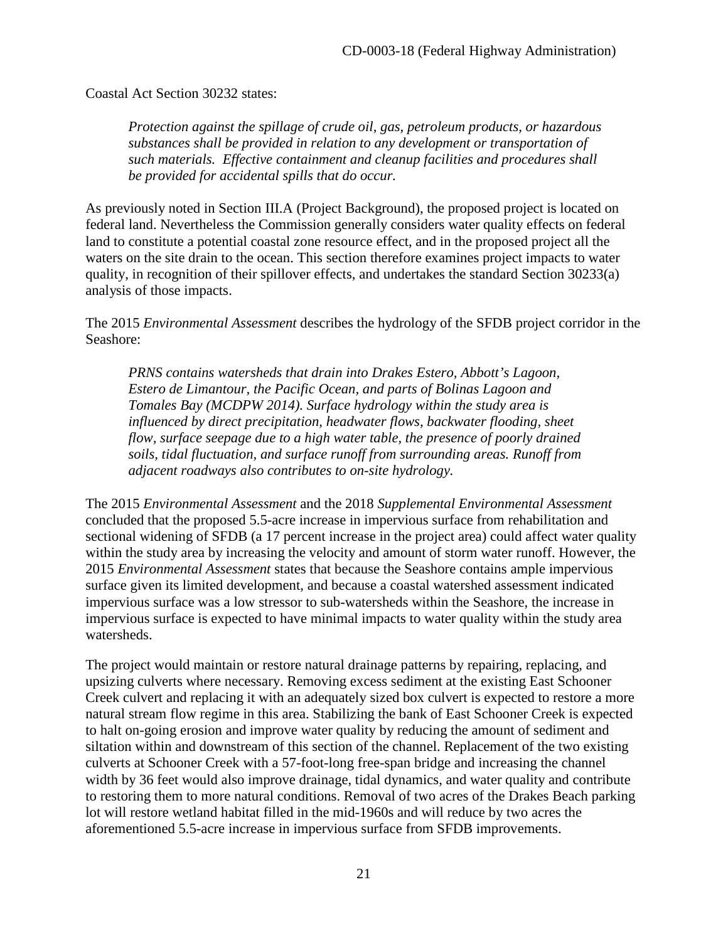Coastal Act Section 30232 states:

*Protection against the spillage of crude oil, gas, petroleum products, or hazardous substances shall be provided in relation to any development or transportation of such materials. Effective containment and cleanup facilities and procedures shall be provided for accidental spills that do occur.* 

As previously noted in Section III.A (Project Background), the proposed project is located on federal land. Nevertheless the Commission generally considers water quality effects on federal land to constitute a potential coastal zone resource effect, and in the proposed project all the waters on the site drain to the ocean. This section therefore examines project impacts to water quality, in recognition of their spillover effects, and undertakes the standard Section 30233(a) analysis of those impacts.

The 2015 *Environmental Assessment* describes the hydrology of the SFDB project corridor in the Seashore:

*PRNS contains watersheds that drain into Drakes Estero, Abbott's Lagoon, Estero de Limantour, the Pacific Ocean, and parts of Bolinas Lagoon and Tomales Bay (MCDPW 2014). Surface hydrology within the study area is influenced by direct precipitation, headwater flows, backwater flooding, sheet flow, surface seepage due to a high water table, the presence of poorly drained soils, tidal fluctuation, and surface runoff from surrounding areas. Runoff from adjacent roadways also contributes to on-site hydrology.* 

The 2015 *Environmental Assessment* and the 2018 *Supplemental Environmental Assessment* concluded that the proposed 5.5-acre increase in impervious surface from rehabilitation and sectional widening of SFDB (a 17 percent increase in the project area) could affect water quality within the study area by increasing the velocity and amount of storm water runoff. However, the 2015 *Environmental Assessment* states that because the Seashore contains ample impervious surface given its limited development, and because a coastal watershed assessment indicated impervious surface was a low stressor to sub-watersheds within the Seashore, the increase in impervious surface is expected to have minimal impacts to water quality within the study area watersheds.

The project would maintain or restore natural drainage patterns by repairing, replacing, and upsizing culverts where necessary. Removing excess sediment at the existing East Schooner Creek culvert and replacing it with an adequately sized box culvert is expected to restore a more natural stream flow regime in this area. Stabilizing the bank of East Schooner Creek is expected to halt on-going erosion and improve water quality by reducing the amount of sediment and siltation within and downstream of this section of the channel. Replacement of the two existing culverts at Schooner Creek with a 57-foot-long free-span bridge and increasing the channel width by 36 feet would also improve drainage, tidal dynamics, and water quality and contribute to restoring them to more natural conditions. Removal of two acres of the Drakes Beach parking lot will restore wetland habitat filled in the mid-1960s and will reduce by two acres the aforementioned 5.5-acre increase in impervious surface from SFDB improvements.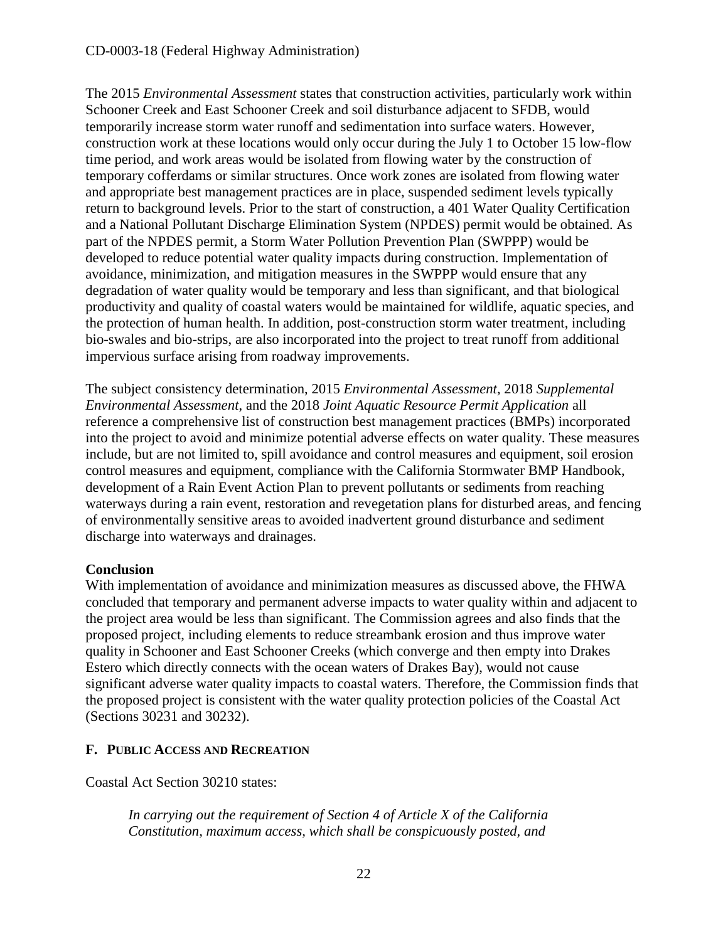#### CD-0003-18 (Federal Highway Administration)

The 2015 *Environmental Assessment* states that construction activities, particularly work within Schooner Creek and East Schooner Creek and soil disturbance adjacent to SFDB, would temporarily increase storm water runoff and sedimentation into surface waters. However, construction work at these locations would only occur during the July 1 to October 15 low-flow time period, and work areas would be isolated from flowing water by the construction of temporary cofferdams or similar structures. Once work zones are isolated from flowing water and appropriate best management practices are in place, suspended sediment levels typically return to background levels. Prior to the start of construction, a 401 Water Quality Certification and a National Pollutant Discharge Elimination System (NPDES) permit would be obtained. As part of the NPDES permit, a Storm Water Pollution Prevention Plan (SWPPP) would be developed to reduce potential water quality impacts during construction. Implementation of avoidance, minimization, and mitigation measures in the SWPPP would ensure that any degradation of water quality would be temporary and less than significant, and that biological productivity and quality of coastal waters would be maintained for wildlife, aquatic species, and the protection of human health. In addition, post-construction storm water treatment, including bio-swales and bio-strips, are also incorporated into the project to treat runoff from additional impervious surface arising from roadway improvements.

The subject consistency determination, 2015 *Environmental Assessment*, 2018 *Supplemental Environmental Assessment*, and the 2018 *Joint Aquatic Resource Permit Application* all reference a comprehensive list of construction best management practices (BMPs) incorporated into the project to avoid and minimize potential adverse effects on water quality. These measures include, but are not limited to, spill avoidance and control measures and equipment, soil erosion control measures and equipment, compliance with the California Stormwater BMP Handbook, development of a Rain Event Action Plan to prevent pollutants or sediments from reaching waterways during a rain event, restoration and revegetation plans for disturbed areas, and fencing of environmentally sensitive areas to avoided inadvertent ground disturbance and sediment discharge into waterways and drainages.

#### **Conclusion**

With implementation of avoidance and minimization measures as discussed above, the FHWA concluded that temporary and permanent adverse impacts to water quality within and adjacent to the project area would be less than significant. The Commission agrees and also finds that the proposed project, including elements to reduce streambank erosion and thus improve water quality in Schooner and East Schooner Creeks (which converge and then empty into Drakes Estero which directly connects with the ocean waters of Drakes Bay), would not cause significant adverse water quality impacts to coastal waters. Therefore, the Commission finds that the proposed project is consistent with the water quality protection policies of the Coastal Act (Sections 30231 and 30232).

#### <span id="page-21-0"></span>**F. PUBLIC ACCESS AND RECREATION**

Coastal Act Section 30210 states:

*In carrying out the requirement of Section 4 of Article X of the California Constitution, maximum access, which shall be conspicuously posted, and*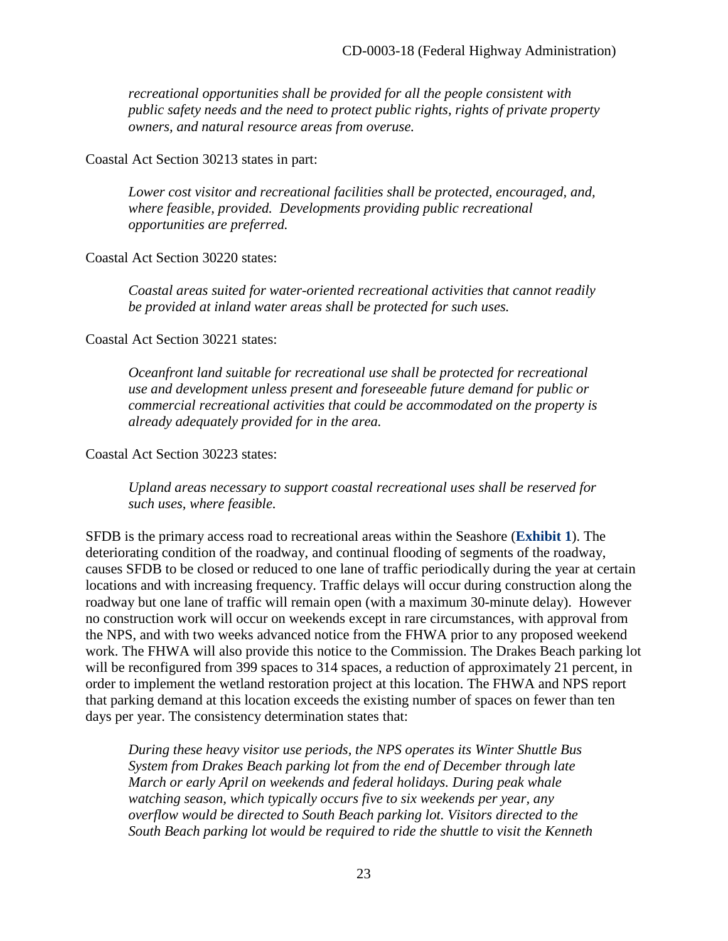*recreational opportunities shall be provided for all the people consistent with public safety needs and the need to protect public rights, rights of private property owners, and natural resource areas from overuse.* 

Coastal Act Section 30213 states in part:

*Lower cost visitor and recreational facilities shall be protected, encouraged, and, where feasible, provided. Developments providing public recreational opportunities are preferred.* 

Coastal Act Section 30220 states:

*Coastal areas suited for water-oriented recreational activities that cannot readily be provided at inland water areas shall be protected for such uses.* 

Coastal Act Section 30221 states:

*Oceanfront land suitable for recreational use shall be protected for recreational use and development unless present and foreseeable future demand for public or commercial recreational activities that could be accommodated on the property is already adequately provided for in the area.* 

Coastal Act Section 30223 states:

*Upland areas necessary to support coastal recreational uses shall be reserved for such uses, where feasible.* 

SFDB is the primary access road to recreational areas within the Seashore (**[Exhibit 1](https://documents.coastal.ca.gov/reports/2018/11/F13b/F13b-11-2018-exhibits.pdf)**). The deteriorating condition of the roadway, and continual flooding of segments of the roadway, causes SFDB to be closed or reduced to one lane of traffic periodically during the year at certain locations and with increasing frequency. Traffic delays will occur during construction along the roadway but one lane of traffic will remain open (with a maximum 30-minute delay). However no construction work will occur on weekends except in rare circumstances, with approval from the NPS, and with two weeks advanced notice from the FHWA prior to any proposed weekend work. The FHWA will also provide this notice to the Commission. The Drakes Beach parking lot will be reconfigured from 399 spaces to 314 spaces, a reduction of approximately 21 percent, in order to implement the wetland restoration project at this location. The FHWA and NPS report that parking demand at this location exceeds the existing number of spaces on fewer than ten days per year. The consistency determination states that:

*During these heavy visitor use periods, the NPS operates its Winter Shuttle Bus System from Drakes Beach parking lot from the end of December through late March or early April on weekends and federal holidays. During peak whale watching season, which typically occurs five to six weekends per year, any overflow would be directed to South Beach parking lot. Visitors directed to the South Beach parking lot would be required to ride the shuttle to visit the Kenneth*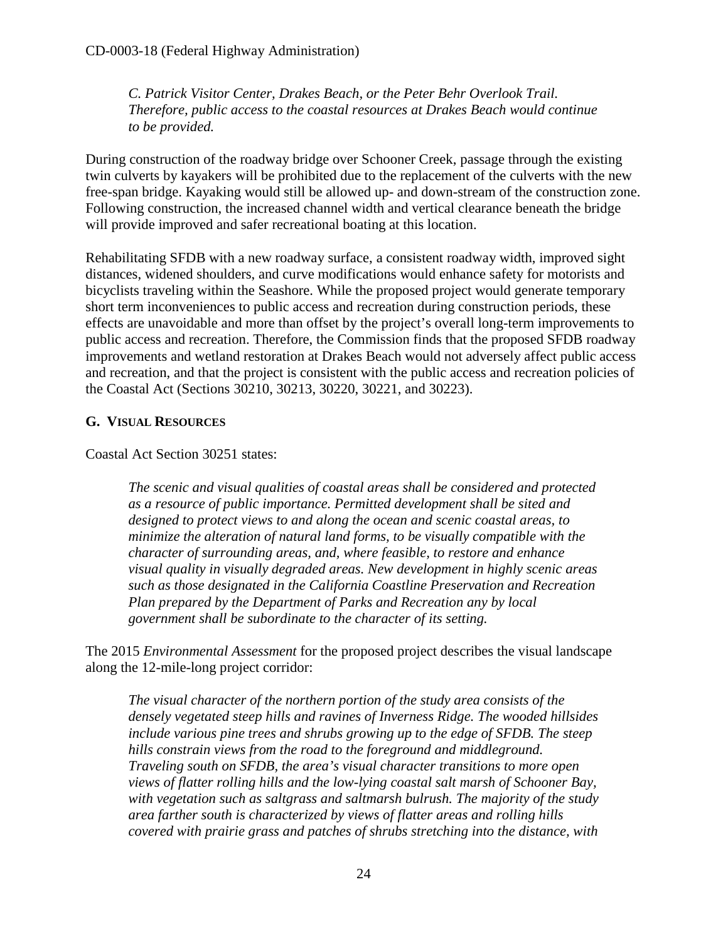*C. Patrick Visitor Center, Drakes Beach, or the Peter Behr Overlook Trail. Therefore, public access to the coastal resources at Drakes Beach would continue to be provided.* 

During construction of the roadway bridge over Schooner Creek, passage through the existing twin culverts by kayakers will be prohibited due to the replacement of the culverts with the new free-span bridge. Kayaking would still be allowed up- and down-stream of the construction zone. Following construction, the increased channel width and vertical clearance beneath the bridge will provide improved and safer recreational boating at this location.

Rehabilitating SFDB with a new roadway surface, a consistent roadway width, improved sight distances, widened shoulders, and curve modifications would enhance safety for motorists and bicyclists traveling within the Seashore. While the proposed project would generate temporary short term inconveniences to public access and recreation during construction periods, these effects are unavoidable and more than offset by the project's overall long-term improvements to public access and recreation. Therefore, the Commission finds that the proposed SFDB roadway improvements and wetland restoration at Drakes Beach would not adversely affect public access and recreation, and that the project is consistent with the public access and recreation policies of the Coastal Act (Sections 30210, 30213, 30220, 30221, and 30223).

#### <span id="page-23-0"></span>**G. VISUAL RESOURCES**

Coastal Act Section 30251 states:

*The scenic and visual qualities of coastal areas shall be considered and protected as a resource of public importance. Permitted development shall be sited and designed to protect views to and along the ocean and scenic coastal areas, to minimize the alteration of natural land forms, to be visually compatible with the character of surrounding areas, and, where feasible, to restore and enhance visual quality in visually degraded areas. New development in highly scenic areas such as those designated in the California Coastline Preservation and Recreation Plan prepared by the Department of Parks and Recreation any by local government shall be subordinate to the character of its setting.* 

The 2015 *Environmental Assessment* for the proposed project describes the visual landscape along the 12-mile-long project corridor:

*The visual character of the northern portion of the study area consists of the densely vegetated steep hills and ravines of Inverness Ridge. The wooded hillsides include various pine trees and shrubs growing up to the edge of SFDB. The steep hills constrain views from the road to the foreground and middleground. Traveling south on SFDB, the area's visual character transitions to more open views of flatter rolling hills and the low-lying coastal salt marsh of Schooner Bay, with vegetation such as saltgrass and saltmarsh bulrush. The majority of the study area farther south is characterized by views of flatter areas and rolling hills covered with prairie grass and patches of shrubs stretching into the distance, with*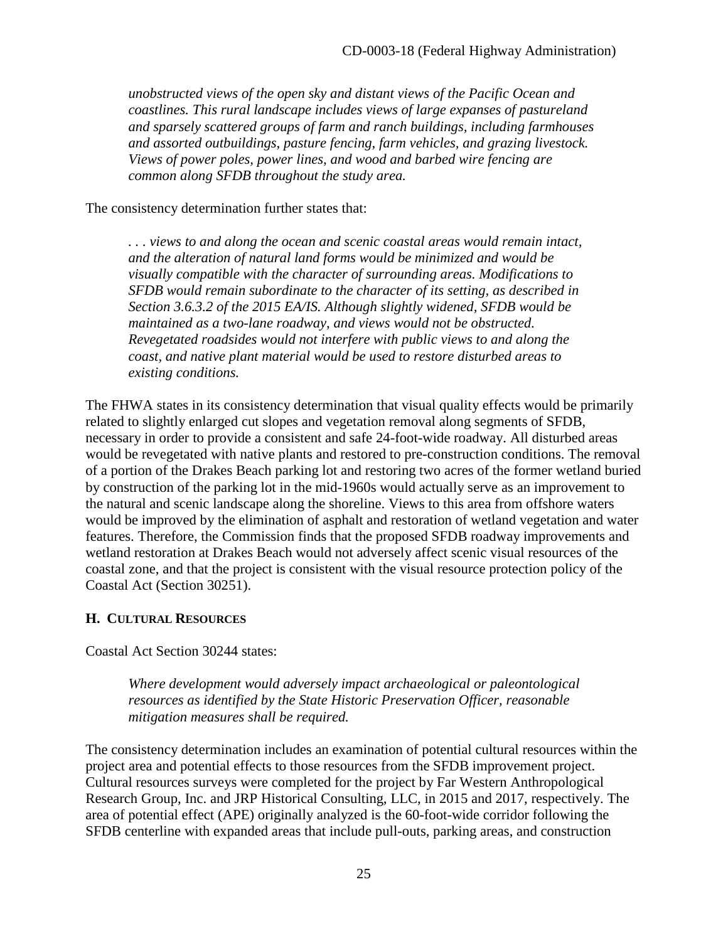*unobstructed views of the open sky and distant views of the Pacific Ocean and coastlines. This rural landscape includes views of large expanses of pastureland and sparsely scattered groups of farm and ranch buildings, including farmhouses and assorted outbuildings, pasture fencing, farm vehicles, and grazing livestock. Views of power poles, power lines, and wood and barbed wire fencing are common along SFDB throughout the study area.* 

The consistency determination further states that:

*. . . views to and along the ocean and scenic coastal areas would remain intact, and the alteration of natural land forms would be minimized and would be visually compatible with the character of surrounding areas. Modifications to SFDB would remain subordinate to the character of its setting, as described in Section 3.6.3.2 of the 2015 EA/IS. Although slightly widened, SFDB would be maintained as a two-lane roadway, and views would not be obstructed. Revegetated roadsides would not interfere with public views to and along the coast, and native plant material would be used to restore disturbed areas to existing conditions.* 

The FHWA states in its consistency determination that visual quality effects would be primarily related to slightly enlarged cut slopes and vegetation removal along segments of SFDB, necessary in order to provide a consistent and safe 24-foot-wide roadway. All disturbed areas would be revegetated with native plants and restored to pre-construction conditions. The removal of a portion of the Drakes Beach parking lot and restoring two acres of the former wetland buried by construction of the parking lot in the mid-1960s would actually serve as an improvement to the natural and scenic landscape along the shoreline. Views to this area from offshore waters would be improved by the elimination of asphalt and restoration of wetland vegetation and water features. Therefore, the Commission finds that the proposed SFDB roadway improvements and wetland restoration at Drakes Beach would not adversely affect scenic visual resources of the coastal zone, and that the project is consistent with the visual resource protection policy of the Coastal Act (Section 30251).

#### <span id="page-24-0"></span>**H. CULTURAL RESOURCES**

Coastal Act Section 30244 states:

*Where development would adversely impact archaeological or paleontological resources as identified by the State Historic Preservation Officer, reasonable mitigation measures shall be required.* 

The consistency determination includes an examination of potential cultural resources within the project area and potential effects to those resources from the SFDB improvement project. Cultural resources surveys were completed for the project by Far Western Anthropological Research Group, Inc. and JRP Historical Consulting, LLC, in 2015 and 2017, respectively. The area of potential effect (APE) originally analyzed is the 60-foot-wide corridor following the SFDB centerline with expanded areas that include pull-outs, parking areas, and construction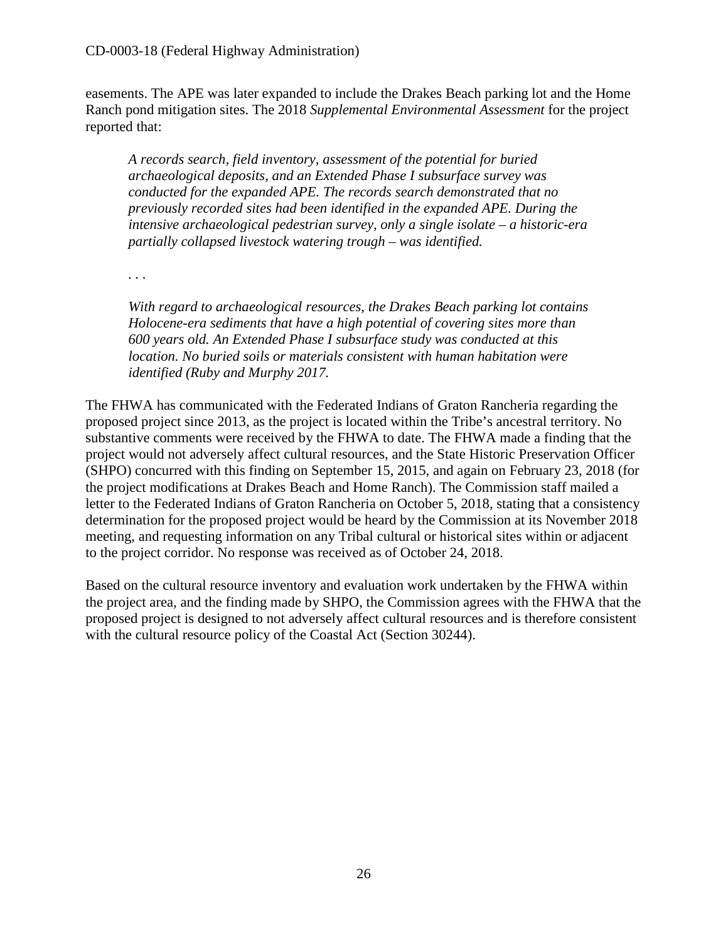easements. The APE was later expanded to include the Drakes Beach parking lot and the Home Ranch pond mitigation sites. The 2018 *Supplemental Environmental Assessment* for the project reported that:

*A records search, field inventory, assessment of the potential for buried archaeological deposits, and an Extended Phase I subsurface survey was conducted for the expanded APE. The records search demonstrated that no previously recorded sites had been identified in the expanded APE. During the intensive archaeological pedestrian survey, only a single isolate – a historic-era partially collapsed livestock watering trough – was identified.* 

*. . .* 

*With regard to archaeological resources, the Drakes Beach parking lot contains Holocene-era sediments that have a high potential of covering sites more than 600 years old. An Extended Phase I subsurface study was conducted at this location. No buried soils or materials consistent with human habitation were identified (Ruby and Murphy 2017.* 

The FHWA has communicated with the Federated Indians of Graton Rancheria regarding the proposed project since 2013, as the project is located within the Tribe's ancestral territory. No substantive comments were received by the FHWA to date. The FHWA made a finding that the project would not adversely affect cultural resources, and the State Historic Preservation Officer (SHPO) concurred with this finding on September 15, 2015, and again on February 23, 2018 (for the project modifications at Drakes Beach and Home Ranch). The Commission staff mailed a letter to the Federated Indians of Graton Rancheria on October 5, 2018, stating that a consistency determination for the proposed project would be heard by the Commission at its November 2018 meeting, and requesting information on any Tribal cultural or historical sites within or adjacent to the project corridor. No response was received as of October 24, 2018.

Based on the cultural resource inventory and evaluation work undertaken by the FHWA within the project area, and the finding made by SHPO, the Commission agrees with the FHWA that the proposed project is designed to not adversely affect cultural resources and is therefore consistent with the cultural resource policy of the Coastal Act (Section 30244).